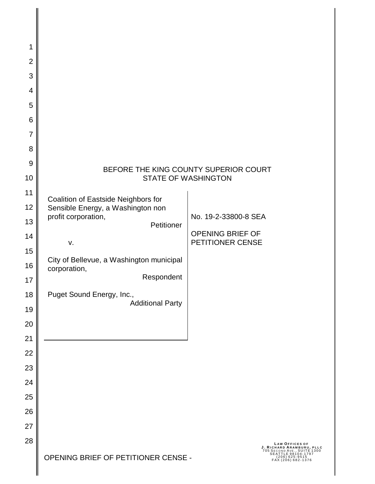| 1              |                                                                                                                                                                                   |
|----------------|-----------------------------------------------------------------------------------------------------------------------------------------------------------------------------------|
| $\overline{2}$ |                                                                                                                                                                                   |
| 3              |                                                                                                                                                                                   |
| 4              |                                                                                                                                                                                   |
| 5              |                                                                                                                                                                                   |
| 6              |                                                                                                                                                                                   |
| $\overline{7}$ |                                                                                                                                                                                   |
| 8              |                                                                                                                                                                                   |
| 9              | BEFORE THE KING COUNTY SUPERIOR COURT                                                                                                                                             |
| 10             | <b>STATE OF WASHINGTON</b>                                                                                                                                                        |
| 11             | Coalition of Eastside Neighbors for                                                                                                                                               |
| 12             | Sensible Energy, a Washington non                                                                                                                                                 |
| 13             | profit corporation,<br>No. 19-2-33800-8 SEA<br>Petitioner                                                                                                                         |
| 14             | OPENING BRIEF OF<br>PETITIONER CENSE<br>V.                                                                                                                                        |
| 15             |                                                                                                                                                                                   |
| 16             | City of Bellevue, a Washington municipal<br>corporation,                                                                                                                          |
| 17             | Respondent                                                                                                                                                                        |
| 18             | Puget Sound Energy, Inc.,<br><b>Additional Party</b>                                                                                                                              |
| 19             |                                                                                                                                                                                   |
| 20             |                                                                                                                                                                                   |
| 21             |                                                                                                                                                                                   |
| 22             |                                                                                                                                                                                   |
| 23             |                                                                                                                                                                                   |
| 24             |                                                                                                                                                                                   |
| 25             |                                                                                                                                                                                   |
| 26             |                                                                                                                                                                                   |
| 27             |                                                                                                                                                                                   |
| 28             | LAW OFFICES OF<br>J. RICHARD ARAMBURU, PLLC<br>705 SECOND AVE., SUITE 1300<br>SEATTLE 98104-1797<br>OPENING BRIEF OF PETITIONER CENSE -<br>$(206)$ 625-9515<br>FAX (206) 682-1376 |

 $\overline{\mathbf{I}}$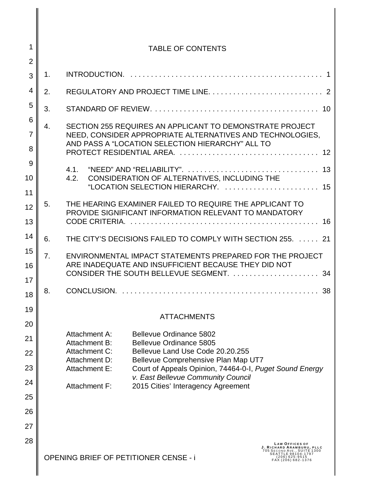| 1              |    | <b>TABLE OF CONTENTS</b>                                                                                                                           |
|----------------|----|----------------------------------------------------------------------------------------------------------------------------------------------------|
| $\overline{2}$ |    |                                                                                                                                                    |
| 3              | 1. |                                                                                                                                                    |
| 4              | 2. |                                                                                                                                                    |
| 5              | 3. |                                                                                                                                                    |
| 6              | 4. | SECTION 255 REQUIRES AN APPLICANT TO DEMONSTRATE PROJECT                                                                                           |
| $\overline{7}$ |    | NEED, CONSIDER APPROPRIATE ALTERNATIVES AND TECHNOLOGIES,<br>AND PASS A "LOCATION SELECTION HIERARCHY" ALL TO                                      |
| 8              |    |                                                                                                                                                    |
| 9              |    |                                                                                                                                                    |
| 10             |    | CONSIDERATION OF ALTERNATIVES, INCLUDING THE<br>4.2.                                                                                               |
| 11             |    |                                                                                                                                                    |
| 12             | 5. | THE HEARING EXAMINER FAILED TO REQUIRE THE APPLICANT TO<br>PROVIDE SIGNIFICANT INFORMATION RELEVANT TO MANDATORY                                   |
| 13             |    |                                                                                                                                                    |
| 14             | 6. | THE CITY'S DECISIONS FAILED TO COMPLY WITH SECTION 255.  21                                                                                        |
| 15             | 7. | ENVIRONMENTAL IMPACT STATEMENTS PREPARED FOR THE PROJECT                                                                                           |
| 16             |    | ARE INADEQUATE AND INSUFFICIENT BECAUSE THEY DID NOT<br>CONSIDER THE SOUTH BELLEVUE SEGMENT.  34                                                   |
| 17             |    |                                                                                                                                                    |
| 18             | 8. | -38                                                                                                                                                |
| 19             |    | <b>ATTACHMENTS</b>                                                                                                                                 |
| 20             |    |                                                                                                                                                    |
| 21             |    | <b>Bellevue Ordinance 5802</b><br>Attachment A:<br>Attachment B:<br>Bellevue Ordinance 5805                                                        |
| 22             |    | Attachment C:<br>Bellevue Land Use Code 20.20.255<br>Attachment D:<br>Bellevue Comprehensive Plan Map UT7                                          |
| 23             |    | Attachment E:<br>Court of Appeals Opinion, 74464-0-1, Puget Sound Energy                                                                           |
| 24             |    | v. East Bellevue Community Council<br>Attachment F:<br>2015 Cities' Interagency Agreement                                                          |
| 25             |    |                                                                                                                                                    |
| 26             |    |                                                                                                                                                    |
| 27             |    |                                                                                                                                                    |
| 28             |    | LAW OFFICES OF<br>J. RICHARD ARAMBURU, PLLC                                                                                                        |
|                |    | 705 SECOND AVE., SUITE 1300<br><b>SEATTLE 98104-1797</b><br><b>OPENING BRIEF OF PETITIONER CENSE - i</b><br>$(206)$ 625-9515<br>FAX (206) 682-1376 |
|                |    |                                                                                                                                                    |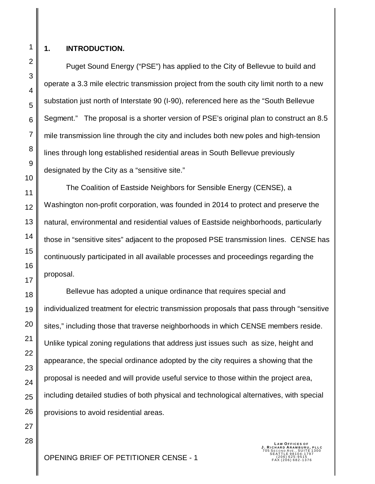1 2 3

4

5

6

7

8

9

10

11

12

13

14

15

16

17

18

19

20

21

22

23

24

25

26

27

28

#### **1. INTRODUCTION.**

Puget Sound Energy ("PSE") has applied to the City of Bellevue to build and operate a 3.3 mile electric transmission project from the south city limit north to a new substation just north of Interstate 90 (I-90), referenced here as the "South Bellevue Segment." The proposal is a shorter version of PSE's original plan to construct an 8.5 mile transmission line through the city and includes both new poles and high-tension lines through long established residential areas in South Bellevue previously designated by the City as a "sensitive site."

The Coalition of Eastside Neighbors for Sensible Energy (CENSE), a Washington non-profit corporation, was founded in 2014 to protect and preserve the natural, environmental and residential values of Eastside neighborhoods, particularly those in "sensitive sites" adjacent to the proposed PSE transmission lines. CENSE has continuously participated in all available processes and proceedings regarding the proposal.

Bellevue has adopted a unique ordinance that requires special and individualized treatment for electric transmission proposals that pass through "sensitive sites," including those that traverse neighborhoods in which CENSE members reside. Unlike typical zoning regulations that address just issues such as size, height and appearance, the special ordinance adopted by the city requires a showing that the proposal is needed and will provide useful service to those within the project area, including detailed studies of both physical and technological alternatives, with special provisions to avoid residential areas.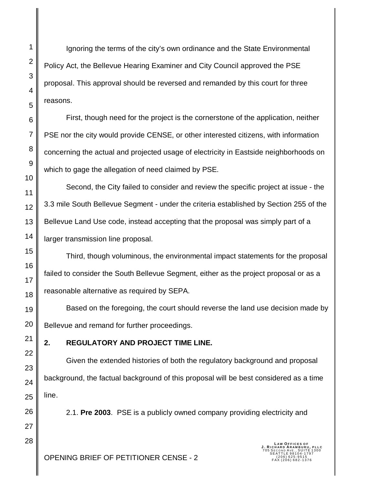Ignoring the terms of the city's own ordinance and the State Environmental Policy Act, the Bellevue Hearing Examiner and City Council approved the PSE proposal. This approval should be reversed and remanded by this court for three reasons.

First, though need for the project is the cornerstone of the application, neither PSE nor the city would provide CENSE, or other interested citizens, with information concerning the actual and projected usage of electricity in Eastside neighborhoods on which to gage the allegation of need claimed by PSE.

Second, the City failed to consider and review the specific project at issue - the 3.3 mile South Bellevue Segment - under the criteria established by Section 255 of the Bellevue Land Use code, instead accepting that the proposal was simply part of a larger transmission line proposal.

Third, though voluminous, the environmental impact statements for the proposal failed to consider the South Bellevue Segment, either as the project proposal or as a reasonable alternative as required by SEPA.

Based on the foregoing, the court should reverse the land use decision made by Bellevue and remand for further proceedings.

#### **2. REGULATORY AND PROJECT TIME LINE.**

Given the extended histories of both the regulatory background and proposal background, the factual background of this proposal will be best considered as a time line.

2.1. **Pre 2003**. PSE is a publicly owned company providing electricity and

**LAW OFFICES OF<br><b>J. RICHARD ARAMBURU, PLLC**<br>705 SECOND AVE., SUITE 1300<br>SEATTLE 98104-1797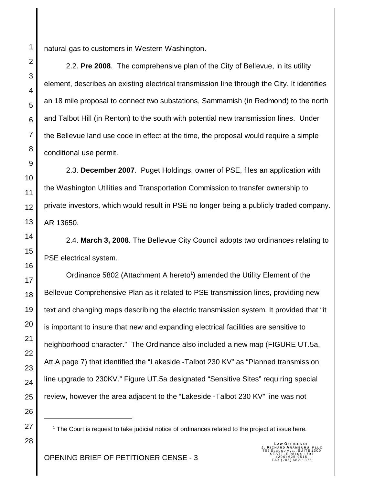natural gas to customers in Western Washington.

2.2. **Pre 2008**. The comprehensive plan of the City of Bellevue, in its utility element, describes an existing electrical transmission line through the City. It identifies an 18 mile proposal to connect two substations, Sammamish (in Redmond) to the north and Talbot Hill (in Renton) to the south with potential new transmission lines. Under the Bellevue land use code in effect at the time, the proposal would require a simple conditional use permit.

2.3. **December 2007**. Puget Holdings, owner of PSE, files an application with the Washington Utilities and Transportation Commission to transfer ownership to private investors, which would result in PSE no longer being a publicly traded company. AR 13650.

2.4. **March 3, 2008**. The Bellevue City Council adopts two ordinances relating to PSE electrical system.

Ordinance 5802 (Attachment A hereto<sup>1</sup>) amended the Utility Element of the Bellevue Comprehensive Plan as it related to PSE transmission lines, providing new text and changing maps describing the electric transmission system. It provided that "it is important to insure that new and expanding electrical facilities are sensitive to neighborhood character." The Ordinance also included a new map (FIGURE UT.5a, Att.A page 7) that identified the "Lakeside -Talbot 230 KV" as "Planned transmission line upgrade to 230KV." Figure UT.5a designated "Sensitive Sites" requiring special review, however the area adjacent to the "Lakeside -Talbot 230 KV" line was not

<sup>1</sup> The Court is request to take judicial notice of ordinances related to the project at issue here.

**LAW OFFICES OF<br><b>J. RICHARD ARAMBURU, PLLC**<br>705 SECOND AVE., SUITE 1300<br>SEATTLE 98104-1797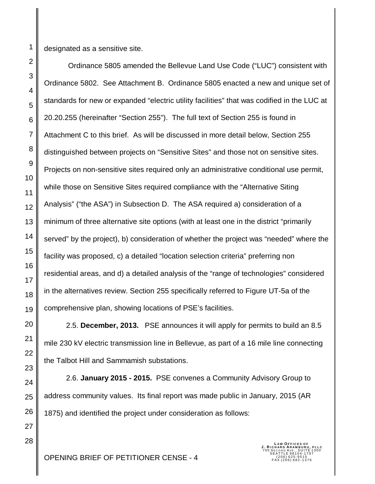designated as a sensitive site.

 Ordinance 5805 amended the Bellevue Land Use Code ("LUC") consistent with Ordinance 5802. See Attachment B. Ordinance 5805 enacted a new and unique set of standards for new or expanded "electric utility facilities" that was codified in the LUC at 20.20.255 (hereinafter "Section 255"). The full text of Section 255 is found in Attachment C to this brief. As will be discussed in more detail below, Section 255 distinguished between projects on "Sensitive Sites" and those not on sensitive sites. Projects on non-sensitive sites required only an administrative conditional use permit, while those on Sensitive Sites required compliance with the "Alternative Siting Analysis" ("the ASA") in Subsection D. The ASA required a) consideration of a minimum of three alternative site options (with at least one in the district "primarily served" by the project), b) consideration of whether the project was "needed" where the facility was proposed, c) a detailed "location selection criteria" preferring non residential areas, and d) a detailed analysis of the "range of technologies" considered in the alternatives review. Section 255 specifically referred to Figure UT-5a of the comprehensive plan, showing locations of PSE's facilities.

2.5. **December, 2013.** PSE announces it will apply for permits to build an 8.5 mile 230 kV electric transmission line in Bellevue, as part of a 16 mile line connecting the Talbot Hill and Sammamish substations.

2.6. **January 2015 - 2015.** PSE convenes a Community Advisory Group to address community values. Its final report was made public in January, 2015 (AR 1875) and identified the project under consideration as follows: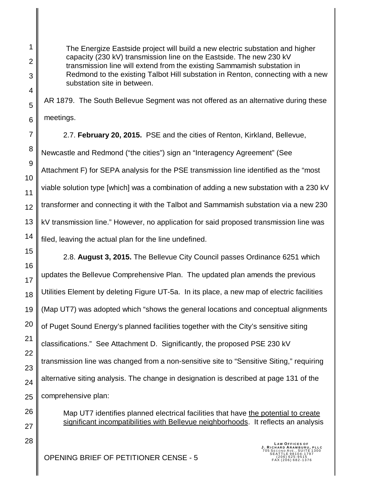The Energize Eastside project will build a new electric substation and higher capacity (230 kV) transmission line on the Eastside. The new 230 kV transmission line will extend from the existing Sammamish substation in Redmond to the existing Talbot Hill substation in Renton, connecting with a new substation site in between.

AR 1879. The South Bellevue Segment was not offered as an alternative during these meetings.

2.7. **February 20, 2015.** PSE and the cities of Renton, Kirkland, Bellevue, Newcastle and Redmond ("the cities") sign an "Interagency Agreement" (See Attachment F) for SEPA analysis for the PSE transmission line identified as the "most viable solution type [which] was a combination of adding a new substation with a 230 kV transformer and connecting it with the Talbot and Sammamish substation via a new 230 kV transmission line." However, no application for said proposed transmission line was filed, leaving the actual plan for the line undefined.

2.8. **August 3, 2015.** The Bellevue City Council passes Ordinance 6251 which updates the Bellevue Comprehensive Plan. The updated plan amends the previous Utilities Element by deleting Figure UT-5a. In its place, a new map of electric facilities (Map UT7) was adopted which "shows the general locations and conceptual alignments of Puget Sound Energy's planned facilities together with the City's sensitive siting classifications." See Attachment D. Significantly, the proposed PSE 230 kV transmission line was changed from a non-sensitive site to "Sensitive Siting," requiring alternative siting analysis. The change in designation is described at page 131 of the comprehensive plan:

> Map UT7 identifies planned electrical facilities that have the potential to create significant incompatibilities with Bellevue neighborhoods. It reflects an analysis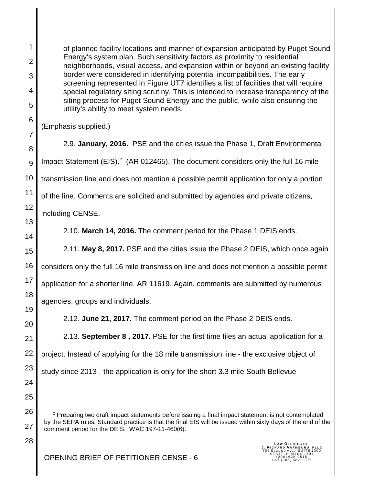of planned facility locations and manner of expansion anticipated by Puget Sound Energy's system plan. Such sensitivity factors as proximity to residential neighborhoods, visual access, and expansion within or beyond an existing facility border were considered in identifying potential incompatibilities. The early screening represented in Figure UT7 identifies a list of facilities that will require special regulatory siting scrutiny. This is intended to increase transparency of the siting process for Puget Sound Energy and the public, while also ensuring the utility's ability to meet system needs.

(Emphasis supplied.)

1

2

3

4

5

6

7

8

9

11

10 12 13 14 15 2.9. **January, 2016.** PSE and the cities issue the Phase 1, Draft Environmental Impact Statement (EIS).<sup>2</sup> (AR 012465). The document considers only the full 16 mile transmission line and does not mention a possible permit application for only a portion of the line. Comments are solicited and submitted by agencies and private citizens, including CENSE. 2.10. **March 14, 2016.** The comment period for the Phase 1 DEIS ends. 2.11. **May 8, 2017.** PSE and the cities issue the Phase 2 DEIS, which once again

16 17 18 considers only the full 16 mile transmission line and does not mention a possible permit application for a shorter line. AR 11619. Again, comments are submitted by numerous agencies, groups and individuals.

2.12. **June 21, 2017.** The comment period on the Phase 2 DEIS ends.

2.13. **September 8 , 2017.** PSE for the first time files an actual application for a project. Instead of applying for the 18 mile transmission line - the exclusive object of study since 2013 - the application is only for the short 3.3 mile South Bellevue

25 26

27

28

19

20

21

22

23

24

 $2$  Preparing two draft impact statements before issuing a final impact statement is not contemplated by the SEPA rules. Standard practice is that the final EIS will be issued within sixty days of the end of the comment period for the DEIS. WAC 197-11-460(6).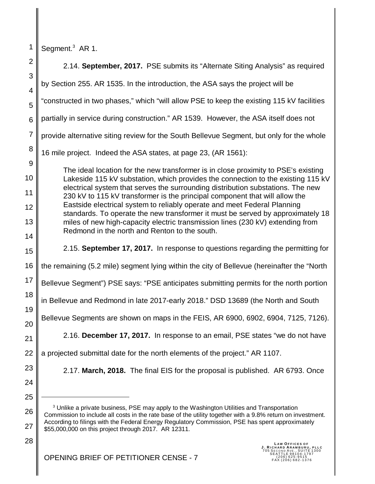Segment.<sup>3</sup> AR 1.

1

28

2 3 4 5 6 7 8 9 10 11 12 13 14 15 16 17 18 19 20 21 22 23 24 25 26 27 2.14. **September, 2017.** PSE submits its "Alternate Siting Analysis" as required by Section 255. AR 1535. In the introduction, the ASA says the project will be "constructed in two phases," which "will allow PSE to keep the existing 115 kV facilities partially in service during construction." AR 1539. However, the ASA itself does not provide alternative siting review for the South Bellevue Segment, but only for the whole 16 mile project. Indeed the ASA states, at page 23, (AR 1561): The ideal location for the new transformer is in close proximity to PSE's existing Lakeside 115 kV substation, which provides the connection to the existing 115 kV electrical system that serves the surrounding distribution substations. The new 230 kV to 115 kV transformer is the principal component that will allow the Eastside electrical system to reliably operate and meet Federal Planning standards. To operate the new transformer it must be served by approximately 18 miles of new high-capacity electric transmission lines (230 kV) extending from Redmond in the north and Renton to the south. 2.15. **September 17, 2017.** In response to questions regarding the permitting for the remaining (5.2 mile) segment lying within the city of Bellevue (hereinafter the "North Bellevue Segment") PSE says: "PSE anticipates submitting permits for the north portion in Bellevue and Redmond in late 2017-early 2018." DSD 13689 (the North and South Bellevue Segments are shown on maps in the FEIS, AR 6900, 6902, 6904, 7125, 7126). 2.16. **December 17, 2017.** In response to an email, PSE states "we do not have a projected submittal date for the north elements of the project." AR 1107. 2.17. **March, 2018.** The final EIS for the proposal is published. AR 6793. Once <sup>3</sup> Unlike a private business, PSE may apply to the Washington Utilities and Transportation Commission to include all costs in the rate base of the utility together with a 9.8% return on investment.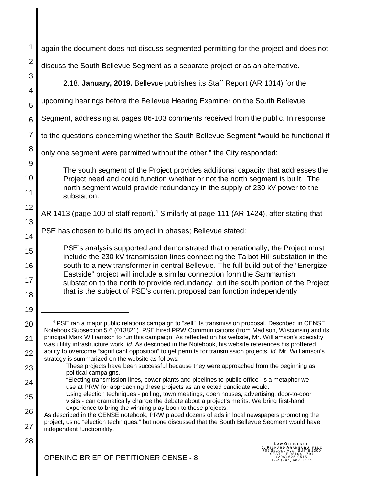| 1                          | again the document does not discuss segmented permitting for the project and does not                                                                                                                                                                                       |
|----------------------------|-----------------------------------------------------------------------------------------------------------------------------------------------------------------------------------------------------------------------------------------------------------------------------|
| $\overline{2}$             | discuss the South Bellevue Segment as a separate project or as an alternative.                                                                                                                                                                                              |
| 3<br>4                     | 2.18. January, 2019. Bellevue publishes its Staff Report (AR 1314) for the                                                                                                                                                                                                  |
| 5                          | upcoming hearings before the Bellevue Hearing Examiner on the South Bellevue                                                                                                                                                                                                |
| 6                          | Segment, addressing at pages 86-103 comments received from the public. In response                                                                                                                                                                                          |
| $\overline{7}$             | to the questions concerning whether the South Bellevue Segment "would be functional if                                                                                                                                                                                      |
| 8                          | only one segment were permitted without the other," the City responded:                                                                                                                                                                                                     |
| $\overline{9}$<br>10<br>11 | The south segment of the Project provides additional capacity that addresses the<br>Project need and could function whether or not the north segment is built. The<br>north segment would provide redundancy in the supply of 230 kV power to the<br>substation.            |
| 12                         | AR 1413 (page 100 of staff report). <sup>4</sup> Similarly at page 111 (AR 1424), after stating that                                                                                                                                                                        |
| 13<br>14                   | PSE has chosen to build its project in phases; Bellevue stated:                                                                                                                                                                                                             |
| 15                         | PSE's analysis supported and demonstrated that operationally, the Project must<br>include the 230 kV transmission lines connecting the Talbot Hill substation in the<br>south to a new transformer in central Bellevue. The full build out of the "Energize"                |
| 16<br>17                   | Eastside" project will include a similar connection form the Sammamish<br>substation to the north to provide redundancy, but the south portion of the Project<br>that is the subject of PSE's current proposal can function independently                                   |
| 18<br>19                   |                                                                                                                                                                                                                                                                             |
| 20                         | <sup>4</sup> PSE ran a major public relations campaign to "sell" its transmission proposal. Described in CENSE                                                                                                                                                              |
| 21                         | Notebook Subsection 5.6 (013821). PSE hired PRW Communications (from Madison, Wisconsin) and its<br>principal Mark Williamson to run this campaign. As reflected on his website, Mr. Williamson's specialty                                                                 |
| 22                         | was utility infrastructure work. Id. As described in the Notebook, his website references his proffered<br>ability to overcome "significant opposition" to get permits for transmission projects. Id. Mr. Williamson's<br>strategy is summarized on the website as follows: |
| 23                         | These projects have been successful because they were approached from the beginning as<br>political campaigns.                                                                                                                                                              |
| 24                         | "Electing transmission lines, power plants and pipelines to public office" is a metaphor we<br>use at PRW for approaching these projects as an elected candidate would.                                                                                                     |
| 25                         | Using election techniques - polling, town meetings, open houses, advertising, door-to-door<br>visits - can dramatically change the debate about a project's merits. We bring first-hand                                                                                     |
| 26                         | experience to bring the winning play book to these projects.<br>As described in the CENSE notebook, PRW placed dozens of ads in local newspapers promoting the                                                                                                              |
| 27                         | project, using "election techniques," but none discussed that the South Bellevue Segment would have<br>independent functionality.                                                                                                                                           |
| 28                         | LAW OFFICES OF<br>J. RICHARD ARAMBURU, PLLC<br>SECOND AVE., SUITE 1300<br>SEATTLE 98104-1797<br>_(206)625-9515<br>OPENING BRIEF OF PETITIONER CENSE - 8<br>FAX (206) 682-1376                                                                                               |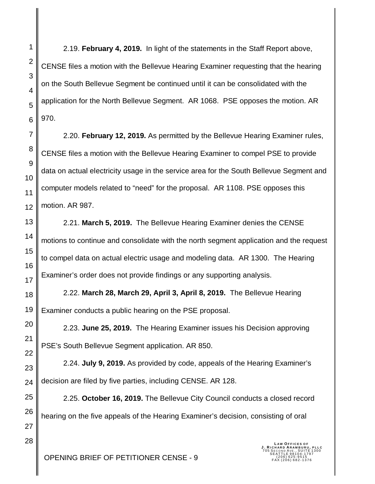2.19. **February 4, 2019.** In light of the statements in the Staff Report above, CENSE files a motion with the Bellevue Hearing Examiner requesting that the hearing on the South Bellevue Segment be continued until it can be consolidated with the application for the North Bellevue Segment. AR 1068. PSE opposes the motion. AR 970.

2.20. **February 12, 2019.** As permitted by the Bellevue Hearing Examiner rules, CENSE files a motion with the Bellevue Hearing Examiner to compel PSE to provide data on actual electricity usage in the service area for the South Bellevue Segment and computer models related to "need" for the proposal. AR 1108. PSE opposes this motion. AR 987.

2.21. **March 5, 2019.** The Bellevue Hearing Examiner denies the CENSE motions to continue and consolidate with the north segment application and the request to compel data on actual electric usage and modeling data. AR 1300. The Hearing Examiner's order does not provide findings or any supporting analysis.

2.22. **March 28, March 29, April 3, April 8, 2019.** The Bellevue Hearing Examiner conducts a public hearing on the PSE proposal.

2.23. **June 25, 2019.** The Hearing Examiner issues his Decision approving PSE's South Bellevue Segment application. AR 850.

2.24. **July 9, 2019.** As provided by code, appeals of the Hearing Examiner's decision are filed by five parties, including CENSE. AR 128.

2.25. **October 16, 2019.** The Bellevue City Council conducts a closed record hearing on the five appeals of the Hearing Examiner's decision, consisting of oral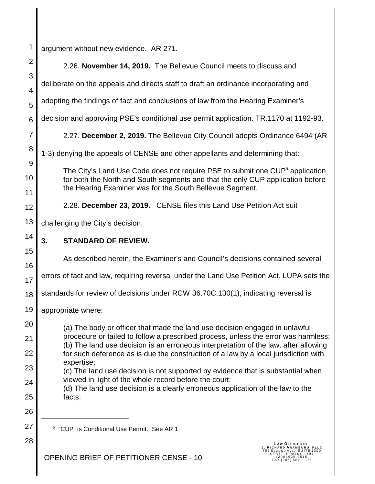1 2 3 4 5 6 7 8 9 10 11 12 13 14 15 16 17 18 19 20 21 22 23 24 25 26 27 28 argument without new evidence. AR 271. 2.26. **November 14, 2019.** The Bellevue Council meets to discuss and deliberate on the appeals and directs staff to draft an ordinance incorporating and adopting the findings of fact and conclusions of law from the Hearing Examiner's decision and approving PSE's conditional use permit application. TR.1170 at 1192-93. 2.27. **December 2, 2019.** The Bellevue City Council adopts Ordinance 6494 (AR 1-3) denying the appeals of CENSE and other appellants and determining that: The City's Land Use Code does not require PSE to submit one CUP<sup>5</sup> application for both the North and South segments and that the only CUP application before the Hearing Examiner was for the South Bellevue Segment. 2.28. **December 23, 2019.** CENSE files this Land Use Petition Act suit challenging the City's decision. **3. STANDARD OF REVIEW.** As described herein, the Examiner's and Council's decisions contained several errors of fact and law, requiring reversal under the Land Use Petition Act. LUPA sets the standards for review of decisions under RCW 36.70C.130(1), indicating reversal is appropriate where: (a) The body or officer that made the land use decision engaged in unlawful procedure or failed to follow a prescribed process, unless the error was harmless; (b) The land use decision is an erroneous interpretation of the law, after allowing for such deference as is due the construction of a law by a local jurisdiction with expertise; (c) The land use decision is not supported by evidence that is substantial when viewed in light of the whole record before the court; (d) The land use decision is a clearly erroneous application of the law to the facts; 5 "CUP" is Conditional Use Permit. See AR 1.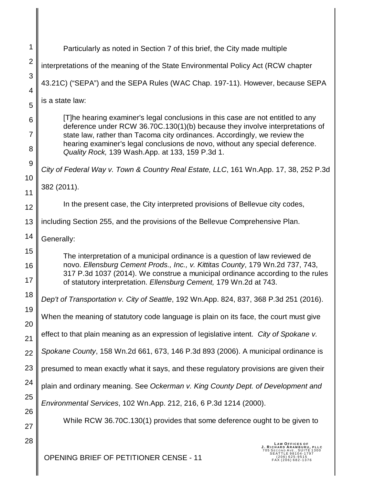| 1        | Particularly as noted in Section 7 of this brief, the City made multiple                                                                                                                                                             |
|----------|--------------------------------------------------------------------------------------------------------------------------------------------------------------------------------------------------------------------------------------|
| 2        | interpretations of the meaning of the State Environmental Policy Act (RCW chapter                                                                                                                                                    |
| 3        | 43.21C) ("SEPA") and the SEPA Rules (WAC Chap. 197-11). However, because SEPA                                                                                                                                                        |
| 4<br>5   | is a state law:                                                                                                                                                                                                                      |
| 6        | [T]he hearing examiner's legal conclusions in this case are not entitled to any                                                                                                                                                      |
| 7        | deference under RCW 36.70C.130(1)(b) because they involve interpretations of<br>state law, rather than Tacoma city ordinances. Accordingly, we review the                                                                            |
| 8        | hearing examiner's legal conclusions de novo, without any special deference.<br>Quality Rock, 139 Wash.App. at 133, 159 P.3d 1.                                                                                                      |
| 9<br>10  | City of Federal Way v. Town & Country Real Estate, LLC, 161 Wn.App. 17, 38, 252 P.3d                                                                                                                                                 |
| 11       | 382 (2011).                                                                                                                                                                                                                          |
| 12       | In the present case, the City interpreted provisions of Bellevue city codes,                                                                                                                                                         |
| 13       | including Section 255, and the provisions of the Bellevue Comprehensive Plan.                                                                                                                                                        |
| 14       | Generally:                                                                                                                                                                                                                           |
| 15       | The interpretation of a municipal ordinance is a question of law reviewed de                                                                                                                                                         |
| 16<br>17 | novo. Ellensburg Cement Prods., Inc., v. Kittitas County, 179 Wn.2d 737, 743,<br>317 P.3d 1037 (2014). We construe a municipal ordinance according to the rules<br>of statutory interpretation. Ellensburg Cement, 179 Wn.2d at 743. |
| 18       | Dep't of Transportation v. City of Seattle, 192 Wn.App. 824, 837, 368 P.3d 251 (2016).                                                                                                                                               |
| 19<br>20 | When the meaning of statutory code language is plain on its face, the court must give                                                                                                                                                |
| 21       | effect to that plain meaning as an expression of legislative intent. City of Spokane v.                                                                                                                                              |
| 22       | Spokane County, 158 Wn.2d 661, 673, 146 P.3d 893 (2006). A municipal ordinance is                                                                                                                                                    |
| 23       | presumed to mean exactly what it says, and these regulatory provisions are given their                                                                                                                                               |
| 24       | plain and ordinary meaning. See Ockerman v. King County Dept. of Development and                                                                                                                                                     |
| 25       | Environmental Services, 102 Wn.App. 212, 216, 6 P.3d 1214 (2000).                                                                                                                                                                    |
| 26<br>27 | While RCW 36.70C.130(1) provides that some deference ought to be given to                                                                                                                                                            |
| 28       |                                                                                                                                                                                                                                      |
|          | <b>OPENING BRIEF OF PETITIONER CENSE - 11</b><br>:06)625-9515<br>206)682-1376                                                                                                                                                        |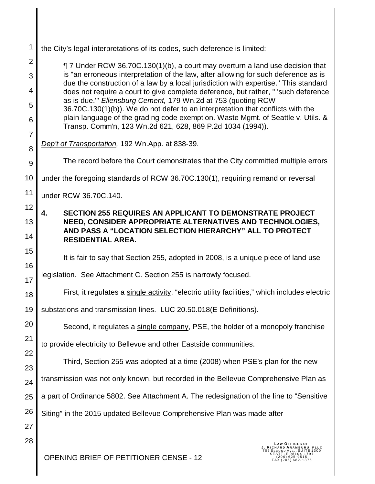| 1              | the City's legal interpretations of its codes, such deference is limited:                                                                                                                                                         |
|----------------|-----------------------------------------------------------------------------------------------------------------------------------------------------------------------------------------------------------------------------------|
| $\overline{2}$ | ¶ 7 Under RCW 36.70C.130(1)(b), a court may overturn a land use decision that                                                                                                                                                     |
| 3              | is "an erroneous interpretation of the law, after allowing for such deference as is<br>due the construction of a law by a local jurisdiction with expertise." This standard                                                       |
| 4<br>5         | does not require a court to give complete deference, but rather, " 'such deference<br>as is due." Ellensburg Cement, 179 Wn.2d at 753 (quoting RCW                                                                                |
| 6              | 36.70C.130(1)(b)). We do not defer to an interpretation that conflicts with the<br>plain language of the grading code exemption. Waste Mgmt. of Seattle v. Utils. &<br>Transp. Comm'n, 123 Wn.2d 621, 628, 869 P.2d 1034 (1994)). |
| $\overline{7}$ |                                                                                                                                                                                                                                   |
| 8              | Dep't of Transportation, 192 Wn.App. at 838-39.                                                                                                                                                                                   |
| 9              | The record before the Court demonstrates that the City committed multiple errors                                                                                                                                                  |
| 10             | under the foregoing standards of RCW 36.70C.130(1), requiring remand or reversal                                                                                                                                                  |
| 11             | under RCW 36.70C.140.                                                                                                                                                                                                             |
| 12             | <b>SECTION 255 REQUIRES AN APPLICANT TO DEMONSTRATE PROJECT</b><br>4.                                                                                                                                                             |
| 13             | NEED, CONSIDER APPROPRIATE ALTERNATIVES AND TECHNOLOGIES,<br>AND PASS A "LOCATION SELECTION HIERARCHY" ALL TO PROTECT                                                                                                             |
| 14             | <b>RESIDENTIAL AREA.</b>                                                                                                                                                                                                          |
| 15             | It is fair to say that Section 255, adopted in 2008, is a unique piece of land use                                                                                                                                                |
| 16             | legislation. See Attachment C. Section 255 is narrowly focused.                                                                                                                                                                   |
| 17<br>18       | First, it regulates a single activity, "electric utility facilities," which includes electric                                                                                                                                     |
| 19             | substations and transmission lines. LUC 20.50.018(E Definitions).                                                                                                                                                                 |
| 20             |                                                                                                                                                                                                                                   |
| 21             | Second, it regulates a single company, PSE, the holder of a monopoly franchise                                                                                                                                                    |
| 22             | to provide electricity to Bellevue and other Eastside communities.                                                                                                                                                                |
| 23             | Third, Section 255 was adopted at a time (2008) when PSE's plan for the new                                                                                                                                                       |
| 24             | transmission was not only known, but recorded in the Bellevue Comprehensive Plan as                                                                                                                                               |
| 25             | a part of Ordinance 5802. See Attachment A. The redesignation of the line to "Sensitive                                                                                                                                           |
| 26             | Siting" in the 2015 updated Bellevue Comprehensive Plan was made after                                                                                                                                                            |
| 27             |                                                                                                                                                                                                                                   |
| 28             | AW OFFICES OF<br>RD ARAMB                                                                                                                                                                                                         |
|                | OPENING BRIEF OF PETITIONER CENSE - 12<br>206) 625-9515<br>FAX (206) 682-1376                                                                                                                                                     |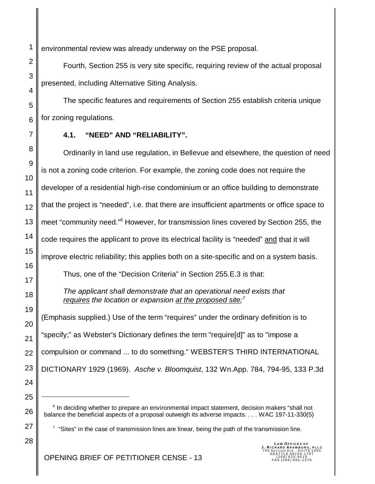environmental review was already underway on the PSE proposal.

Fourth, Section 255 is very site specific, requiring review of the actual proposal presented, including Alternative Siting Analysis.

The specific features and requirements of Section 255 establish criteria unique for zoning regulations.

#### **4.1. "NEED" AND "RELIABILITY".**

8 9 10 11 12 13 14 15 16 17 18 19 20 21 22 23 24 Ordinarily in land use regulation, in Bellevue and elsewhere, the question of need is not a zoning code criterion. For example, the zoning code does not require the developer of a residential high-rise condominium or an office building to demonstrate that the project is "needed", i.e. that there are insufficient apartments or office space to meet "community need."<sup>6</sup> However, for transmission lines covered by Section 255, the code requires the applicant to prove its electrical facility is "needed" and that it will improve electric reliability; this applies both on a site-specific and on a system basis. Thus, one of the "Decision Criteria" in Section 255.E.3 is that: *The applicant shall demonstrate that an operational need exists that requires the location or expansion at the proposed site; 7* (Emphasis supplied.) Use of the term "requires" under the ordinary definition is to "specify;" as Webster's Dictionary defines the term "require[d]" as to "impose a compulsion or command ... to do something." WEBSTER'S THIRD INTERNATIONAL DICTIONARY 1929 (1969). *Asche v. Bloomquist*, 132 Wn.App. 784, 794-95, 133 P.3d

25

26

27

1

2

3

4

5

6

7

<sup>6</sup> In deciding whether to prepare an environmental impact statement, decision makers "shall not balance the beneficial aspects of a proposal outweigh its adverse impacts. . . . WAC 197-11-330(5)

 $7$  "Sites" in the case of transmission lines are linear, being the path of the transmission line.

28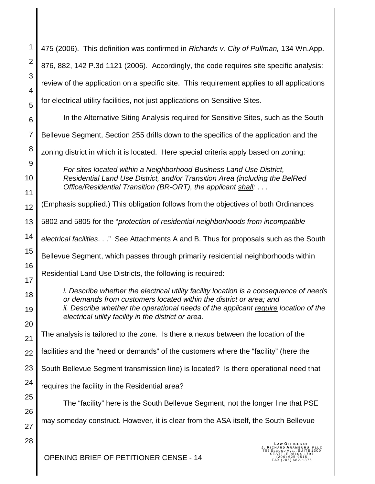| 1                   | 475 (2006). This definition was confirmed in Richards v. City of Pullman, 134 Wn.App.                                                              |
|---------------------|----------------------------------------------------------------------------------------------------------------------------------------------------|
| $\mathbf 2$         | 876, 882, 142 P.3d 1121 (2006). Accordingly, the code requires site specific analysis:                                                             |
| 3                   | review of the application on a specific site. This requirement applies to all applications                                                         |
| 4                   | for electrical utility facilities, not just applications on Sensitive Sites.                                                                       |
| 5                   | In the Alternative Siting Analysis required for Sensitive Sites, such as the South                                                                 |
| 6<br>$\overline{7}$ |                                                                                                                                                    |
| 8                   | Bellevue Segment, Section 255 drills down to the specifics of the application and the                                                              |
| 9                   | zoning district in which it is located. Here special criteria apply based on zoning:                                                               |
| 10                  | For sites located within a Neighborhood Business Land Use District,<br>Residential Land Use District, and/or Transition Area (including the BelRed |
| 11                  | Office/Residential Transition (BR-ORT), the applicant shall:                                                                                       |
| 12                  | (Emphasis supplied.) This obligation follows from the objectives of both Ordinances                                                                |
| 13                  | 5802 and 5805 for the "protection of residential neighborhoods from incompatible                                                                   |
| 14                  | electrical facilities." See Attachments A and B. Thus for proposals such as the South                                                              |
| 15                  | Bellevue Segment, which passes through primarily residential neighborhoods within                                                                  |
| 16                  | Residential Land Use Districts, the following is required:                                                                                         |
| 17                  | <i>i.</i> Describe whether the electrical utility facility location is a consequence of needs                                                      |
| 18                  | or demands from customers located within the district or area; and                                                                                 |
| 19                  | ii. Describe whether the operational needs of the applicant require location of the<br>electrical utility facility in the district or area.        |
| 20                  | The analysis is tailored to the zone. Is there a nexus between the location of the                                                                 |
| 21                  | facilities and the "need or demands" of the customers where the "facility" (here the                                                               |
| 22<br>23            |                                                                                                                                                    |
| 24                  | South Bellevue Segment transmission line) is located? Is there operational need that                                                               |
| 25                  | requires the facility in the Residential area?                                                                                                     |
| 26                  | The "facility" here is the South Bellevue Segment, not the longer line that PSE                                                                    |
| 27                  | may someday construct. However, it is clear from the ASA itself, the South Bellevue                                                                |
| 28                  | <b>LAW OFFICES OF</b>                                                                                                                              |
|                     |                                                                                                                                                    |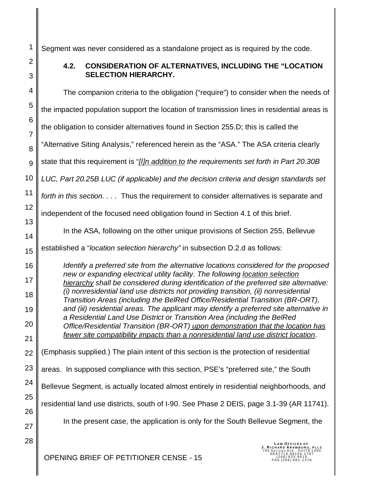Segment was never considered as a standalone project as is required by the code.

1

2

3

# **4.2. CONSIDERATION OF ALTERNATIVES, INCLUDING THE "LOCATION SELECTION HIERARCHY.**

4 5 6 7 8 9 10 11 12 13 14 15 16 17 18 19 20 21 22 23 24 25 26 27 28 The companion criteria to the obligation ("require") to consider when the needs of the impacted population support the location of transmission lines in residential areas is the obligation to consider alternatives found in Section 255.D; this is called the "Alternative Siting Analysis," referenced herein as the "ASA." The ASA criteria clearly state that this requirement is "*[I]n addition to the requirements set forth in Part 20.30B LUC, Part 20.25B LUC (if applicable) and the decision criteria and design standards set forth in this section. . . .* Thus the requirement to consider alternatives is separate and independent of the focused need obligation found in Section 4.1 of this brief. In the ASA, following on the other unique provisions of Section 255, Bellevue established a "*location selection hierarchy"* in subsection D.2.d as follows: *Identify a preferred site from the alternative locations considered for the proposed new or expanding electrical utility facility. The following location selection hierarchy shall be considered during identification of the preferred site alternative: (i) nonresidential land use districts not providing transition, (ii) nonresidential Transition Areas (including the BelRed Office/Residential Transition (BR-ORT), and (iii) residential areas. The applicant may identify a preferred site alternative in a Residential Land Use District or Transition Area (including the BelRed Office/Residential Transition (BR-ORT) upon demonstration that the location has fewer site compatibility impacts than a nonresidential land use district location*. (Emphasis supplied.) The plain intent of this section is the protection of residential areas. In supposed compliance with this section, PSE's "preferred site," the South Bellevue Segment, is actually located almost entirely in residential neighborhoods, and residential land use districts, south of I-90. See Phase 2 DEIS, page 3.1-39 (AR 11741). In the present case, the application is only for the South Bellevue Segment, the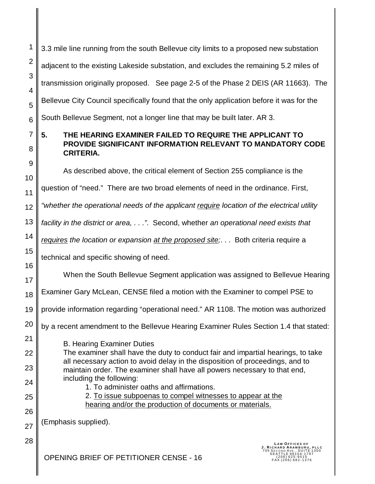1 2 3 4 5 6 7 8 9 10 11 12 13 14 15 16 17 18 19 20 21 22 23 24 25 3.3 mile line running from the south Bellevue city limits to a proposed new substation adjacent to the existing Lakeside substation, and excludes the remaining 5.2 miles of transmission originally proposed. See page 2-5 of the Phase 2 DEIS (AR 11663). The Bellevue City Council specifically found that the only application before it was for the South Bellevue Segment, not a longer line that may be built later. AR 3. **5. THE HEARING EXAMINER FAILED TO REQUIRE THE APPLICANT TO PROVIDE SIGNIFICANT INFORMATION RELEVANT TO MANDATORY CODE CRITERIA.** As described above, the critical element of Section 255 compliance is the question of "need." There are two broad elements of need in the ordinance. First, *"whether the operational needs of the applicant require location of the electrical utility facility in the district or area, . . ."*. Second, whether *an operational need exists that requires the location or expansion at the proposed site;*. . . Both criteria require a technical and specific showing of need. When the South Bellevue Segment application was assigned to Bellevue Hearing Examiner Gary McLean, CENSE filed a motion with the Examiner to compel PSE to provide information regarding "operational need." AR 1108. The motion was authorized by a recent amendment to the Bellevue Hearing Examiner Rules Section 1.4 that stated: B. Hearing Examiner Duties The examiner shall have the duty to conduct fair and impartial hearings, to take all necessary action to avoid delay in the disposition of proceedings, and to maintain order. The examiner shall have all powers necessary to that end, including the following: 1. To administer oaths and affirmations. 2. To issue subpoenas to compel witnesses to appear at the

hearing and/or the production of documents or materials.

(Emphasis supplied).

26

27

28

**LAW OFFICES OF<br><b>J. RICHARD ARAMBURU, PLLC**<br>705 SECOND AVE., SUITE 1300<br>SEATTLE 98104-1797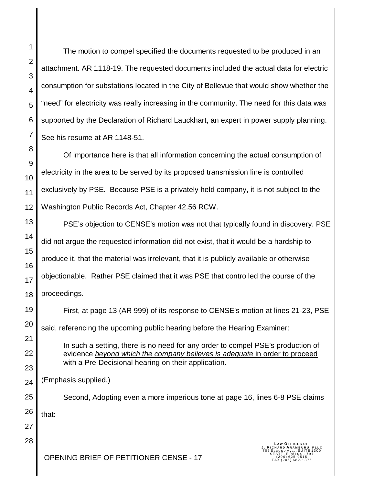The motion to compel specified the documents requested to be produced in an attachment. AR 1118-19. The requested documents included the actual data for electric consumption for substations located in the City of Bellevue that would show whether the "need" for electricity was really increasing in the community. The need for this data was supported by the Declaration of Richard Lauckhart, an expert in power supply planning. See his resume at AR 1148-51.

Of importance here is that all information concerning the actual consumption of electricity in the area to be served by its proposed transmission line is controlled exclusively by PSE. Because PSE is a privately held company, it is not subject to the Washington Public Records Act, Chapter 42.56 RCW.

PSE's objection to CENSE's motion was not that typically found in discovery. PSE did not argue the requested information did not exist, that it would be a hardship to produce it, that the material was irrelevant, that it is publicly available or otherwise objectionable. Rather PSE claimed that it was PSE that controlled the course of the proceedings.

First, at page 13 (AR 999) of its response to CENSE's motion at lines 21-23, PSE said, referencing the upcoming public hearing before the Hearing Examiner: In such a setting, there is no need for any order to compel PSE's production of evidence *beyond which the company believes is adequate* in order to proceed

with a Pre-Decisional hearing on their application.

(Emphasis supplied.)

Second, Adopting even a more imperious tone at page 16, lines 6-8 PSE claims

that: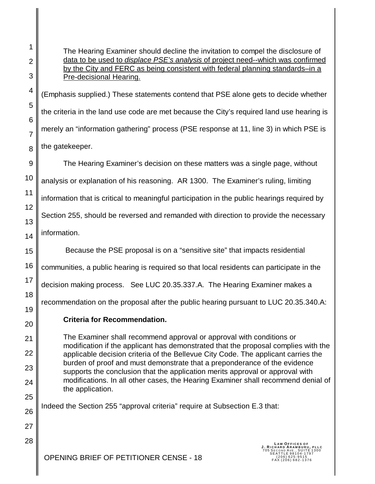1

2

3

4

The Hearing Examiner should decline the invitation to compel the disclosure of data to be used to *displace PSE's analysis* of project need--which was confirmed by the City and FERC as being consistent with federal planning standards–in a Pre-decisional Hearing.

(Emphasis supplied.) These statements contend that PSE alone gets to decide whether the criteria in the land use code are met because the City's required land use hearing is merely an "information gathering" process (PSE response at 11, line 3) in which PSE is the gatekeeper.

The Hearing Examiner's decision on these matters was a single page, without analysis or explanation of his reasoning. AR 1300. The Examiner's ruling, limiting information that is critical to meaningful participation in the public hearings required by Section 255, should be reversed and remanded with direction to provide the necessary information.

Because the PSE proposal is on a "sensitive site" that impacts residential

communities, a public hearing is required so that local residents can participate in the

decision making process. See LUC 20.35.337.A. The Hearing Examiner makes a

recommendation on the proposal after the public hearing pursuant to LUC 20.35.340.A:

**Criteria for Recommendation.**

The Examiner shall recommend approval or approval with conditions or modification if the applicant has demonstrated that the proposal complies with the applicable decision criteria of the Bellevue City Code. The applicant carries the burden of proof and must demonstrate that a preponderance of the evidence supports the conclusion that the application merits approval or approval with modifications. In all other cases, the Hearing Examiner shall recommend denial of the application.

Indeed the Section 255 "approval criteria" require at Subsection E.3 that: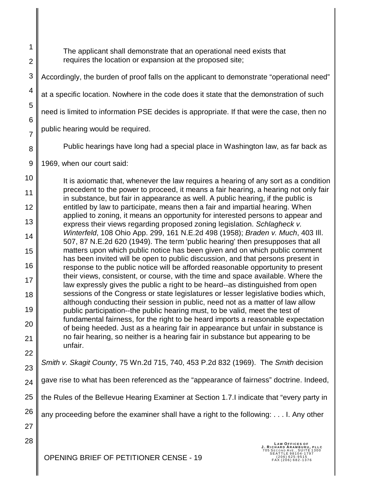The applicant shall demonstrate that an operational need exists that requires the location or expansion at the proposed site;

3 4 5 6 7 8 9 10 11 Accordingly, the burden of proof falls on the applicant to demonstrate "operational need" at a specific location. Nowhere in the code does it state that the demonstration of such need is limited to information PSE decides is appropriate. If that were the case, then no public hearing would be required. Public hearings have long had a special place in Washington law, as far back as 1969, when our court said: It is axiomatic that, whenever the law requires a hearing of any sort as a condition precedent to the power to proceed, it means a fair hearing, a hearing not only fair

12 13 14 15 16 17 18 19 20 21 22 in substance, but fair in appearance as well. A public hearing, if the public is entitled by law to participate, means then a fair and impartial hearing. When applied to zoning, it means an opportunity for interested persons to appear and express their views regarding proposed zoning legislation. *Schlagheck v. Winterfeld*, 108 Ohio App. 299, 161 N.E.2d 498 (1958); *Braden v. Much*, 403 Ill. 507, 87 N.E.2d 620 (1949). The term 'public hearing' then presupposes that all matters upon which public notice has been given and on which public comment has been invited will be open to public discussion, and that persons present in response to the public notice will be afforded reasonable opportunity to present their views, consistent, or course, with the time and space available. Where the law expressly gives the public a right to be heard--as distinguished from open sessions of the Congress or state legislatures or lesser legislative bodies which, although conducting their session in public, need not as a matter of law allow public participation--the public hearing must, to be valid, meet the test of fundamental fairness, for the right to be heard imports a reasonable expectation of being heeded. Just as a hearing fair in appearance but unfair in substance is no fair hearing, so neither is a hearing fair in substance but appearing to be unfair.

*Smith v. Skagit County*, 75 Wn.2d 715, 740, 453 P.2d 832 (1969). The *Smith* decision

24 gave rise to what has been referenced as the "appearance of fairness" doctrine. Indeed,

25 the Rules of the Bellevue Hearing Examiner at Section 1.7.I indicate that "every party in

any proceeding before the examiner shall have a right to the following: . . . I. Any other

27 28

26

23

1

2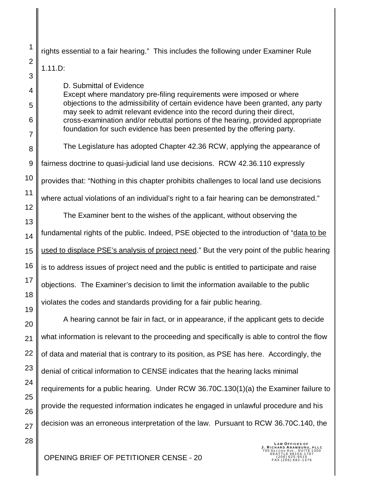rights essential to a fair hearing." This includes the following under Examiner Rule

### 1.11.D:

D. Submittal of Evidence

Except where mandatory pre-filing requirements were imposed or where objections to the admissibility of certain evidence have been granted, any party may seek to admit relevant evidence into the record during their direct, cross-examination and/or rebuttal portions of the hearing, provided appropriate foundation for such evidence has been presented by the offering party.

The Legislature has adopted Chapter 42.36 RCW, applying the appearance of fairness doctrine to quasi-judicial land use decisions. RCW 42.36.110 expressly provides that: "Nothing in this chapter prohibits challenges to local land use decisions

where actual violations of an individual's right to a fair hearing can be demonstrated."

The Examiner bent to the wishes of the applicant, without observing the fundamental rights of the public. Indeed, PSE objected to the introduction of "data to be used to displace PSE's analysis of project need." But the very point of the public hearing is to address issues of project need and the public is entitled to participate and raise objections. The Examiner's decision to limit the information available to the public violates the codes and standards providing for a fair public hearing.

A hearing cannot be fair in fact, or in appearance, if the applicant gets to decide what information is relevant to the proceeding and specifically is able to control the flow of data and material that is contrary to its position, as PSE has here. Accordingly, the denial of critical information to CENSE indicates that the hearing lacks minimal requirements for a public hearing. Under RCW 36.70C.130(1)(a) the Examiner failure to provide the requested information indicates he engaged in unlawful procedure and his decision was an erroneous interpretation of the law. Pursuant to RCW 36.70C.140, the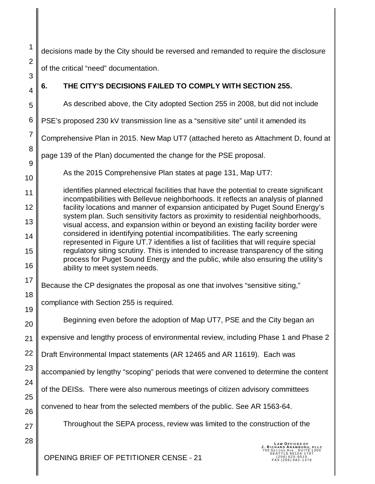decisions made by the City should be reversed and remanded to require the disclosure

of the critical "need" documentation.

1

2

3

4

5

6

8

9

10

17

18

19

20

24

25

26

27

# **6. THE CITY'S DECISIONS FAILED TO COMPLY WITH SECTION 255.**

As described above, the City adopted Section 255 in 2008, but did not include

PSE's proposed 230 kV transmission line as a "sensitive site" until it amended its

7 Comprehensive Plan in 2015. New Map UT7 (attached hereto as Attachment D, found at

page 139 of the Plan) documented the change for the PSE proposal.

As the 2015 Comprehensive Plan states at page 131, Map UT7:

11 12 13 14 15 16 identifies planned electrical facilities that have the potential to create significant incompatibilities with Bellevue neighborhoods. It reflects an analysis of planned facility locations and manner of expansion anticipated by Puget Sound Energy's system plan. Such sensitivity factors as proximity to residential neighborhoods, visual access, and expansion within or beyond an existing facility border were considered in identifying potential incompatibilities. The early screening represented in Figure UT.7 identifies a list of facilities that will require special regulatory siting scrutiny. This is intended to increase transparency of the siting process for Puget Sound Energy and the public, while also ensuring the utility's ability to meet system needs.

Because the CP designates the proposal as one that involves "sensitive siting,"

compliance with Section 255 is required.

Beginning even before the adoption of Map UT7, PSE and the City began an

21 expensive and lengthy process of environmental review, including Phase 1 and Phase 2

22 Draft Environmental Impact statements (AR 12465 and AR 11619). Each was

23 accompanied by lengthy "scoping" periods that were convened to determine the content

of the DEISs. There were also numerous meetings of citizen advisory committees

convened to hear from the selected members of the public. See AR 1563-64.

Throughout the SEPA process, review was limited to the construction of the

28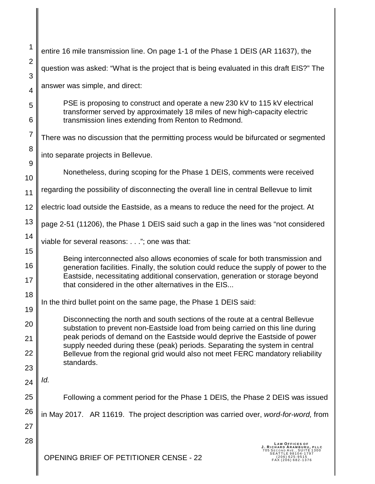| 1              | entire 16 mile transmission line. On page 1-1 of the Phase 1 DEIS (AR 11637), the                                                                                                                                                                      |
|----------------|--------------------------------------------------------------------------------------------------------------------------------------------------------------------------------------------------------------------------------------------------------|
| $\overline{2}$ | question was asked: "What is the project that is being evaluated in this draft EIS?" The                                                                                                                                                               |
| 3              | answer was simple, and direct:                                                                                                                                                                                                                         |
| $\overline{4}$ |                                                                                                                                                                                                                                                        |
| 5              | PSE is proposing to construct and operate a new 230 kV to 115 kV electrical<br>transformer served by approximately 18 miles of new high-capacity electric                                                                                              |
| 6              | transmission lines extending from Renton to Redmond.                                                                                                                                                                                                   |
| 7              | There was no discussion that the permitting process would be bifurcated or segmented                                                                                                                                                                   |
| 8              | into separate projects in Bellevue.                                                                                                                                                                                                                    |
| 9              |                                                                                                                                                                                                                                                        |
| 10             | Nonetheless, during scoping for the Phase 1 DEIS, comments were received                                                                                                                                                                               |
| 11             | regarding the possibility of disconnecting the overall line in central Bellevue to limit                                                                                                                                                               |
| 12             | electric load outside the Eastside, as a means to reduce the need for the project. At                                                                                                                                                                  |
| 13             | page 2-51 (11206), the Phase 1 DEIS said such a gap in the lines was "not considered                                                                                                                                                                   |
| 14             | viable for several reasons:"; one was that:                                                                                                                                                                                                            |
| 15             |                                                                                                                                                                                                                                                        |
| 16<br>17       | Being interconnected also allows economies of scale for both transmission and<br>generation facilities. Finally, the solution could reduce the supply of power to the<br>Eastside, necessitating additional conservation, generation or storage beyond |
|                | that considered in the other alternatives in the EIS                                                                                                                                                                                                   |
| 18             | In the third bullet point on the same page, the Phase 1 DEIS said:                                                                                                                                                                                     |
| 19             | Disconnecting the north and south sections of the route at a central Bellevue                                                                                                                                                                          |
| 20             | substation to prevent non-Eastside load from being carried on this line during<br>peak periods of demand on the Eastside would deprive the Eastside of power                                                                                           |
| 21<br>22       | supply needed during these (peak) periods. Separating the system in central                                                                                                                                                                            |
| 23             | Bellevue from the regional grid would also not meet FERC mandatory reliability<br>standards.                                                                                                                                                           |
| 24             | Id.                                                                                                                                                                                                                                                    |
| 25             | Following a comment period for the Phase 1 DEIS, the Phase 2 DEIS was issued                                                                                                                                                                           |
|                |                                                                                                                                                                                                                                                        |
| 26<br>27       | in May 2017. AR 11619. The project description was carried over, word-for-word, from                                                                                                                                                                   |
|                |                                                                                                                                                                                                                                                        |
| 28             | <b>LAW OFFICES OF</b><br>J. RICHARD ARAMBURU, PLLC<br>A I I L E 98104 - 1797<br><b>OPENING BRIEF OF PETITIONER CENSE - 22</b><br>206) 625-9515<br>$(206) 682 - 1376$                                                                                   |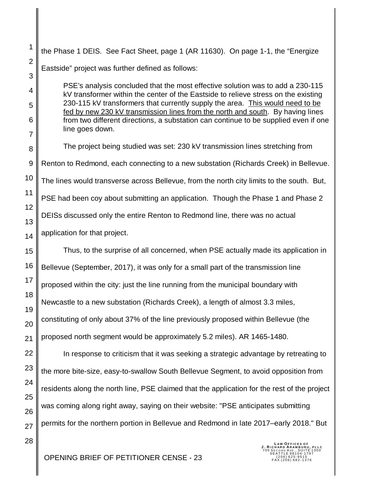1 2 3 4 5 6 7 8 9 10 11 12 13 14 15 16 17 18 19 20 21 22 23 24 25 26 27 28 the Phase 1 DEIS. See Fact Sheet, page 1 (AR 11630). On page 1-1, the "Energize Eastside" project was further defined as follows: PSE's analysis concluded that the most effective solution was to add a 230-115 kV transformer within the center of the Eastside to relieve stress on the existing 230-115 kV transformers that currently supply the area. This would need to be fed by new 230 kV transmission lines from the north and south. By having lines from two different directions, a substation can continue to be supplied even if one line goes down. The project being studied was set: 230 kV transmission lines stretching from Renton to Redmond, each connecting to a new substation (Richards Creek) in Bellevue. The lines would transverse across Bellevue, from the north city limits to the south. But, PSE had been coy about submitting an application. Though the Phase 1 and Phase 2 DEISs discussed only the entire Renton to Redmond line, there was no actual application for that project. Thus, to the surprise of all concerned, when PSE actually made its application in Bellevue (September, 2017), it was only for a small part of the transmission line proposed within the city: just the line running from the municipal boundary with Newcastle to a new substation (Richards Creek), a length of almost 3.3 miles, constituting of only about 37% of the line previously proposed within Bellevue (the proposed north segment would be approximately 5.2 miles). AR 1465-1480. In response to criticism that it was seeking a strategic advantage by retreating to the more bite-size, easy-to-swallow South Bellevue Segment, to avoid opposition from residents along the north line, PSE claimed that the application for the rest of the project was coming along right away, saying on their website: "PSE anticipates submitting permits for the northern portion in Bellevue and Redmond in late 2017–early 2018." But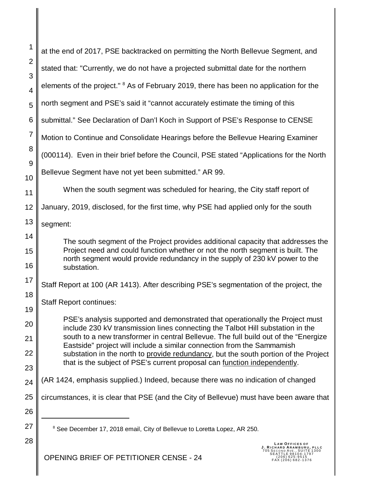| 1                   | at the end of 2017, PSE backtracked on permitting the North Bellevue Segment, and                                                                                     |
|---------------------|-----------------------------------------------------------------------------------------------------------------------------------------------------------------------|
| $\overline{2}$<br>3 | stated that: "Currently, we do not have a projected submittal date for the northern                                                                                   |
| 4                   | elements of the project." <sup>8</sup> As of February 2019, there has been no application for the                                                                     |
| 5                   | north segment and PSE's said it "cannot accurately estimate the timing of this                                                                                        |
| 6                   | submittal." See Declaration of Dan'l Koch in Support of PSE's Response to CENSE                                                                                       |
| $\overline{7}$      | Motion to Continue and Consolidate Hearings before the Bellevue Hearing Examiner                                                                                      |
| 8                   | (000114). Even in their brief before the Council, PSE stated "Applications for the North                                                                              |
| 9                   | Bellevue Segment have not yet been submitted." AR 99.                                                                                                                 |
| 10<br>11            | When the south segment was scheduled for hearing, the City staff report of                                                                                            |
| 12                  | January, 2019, disclosed, for the first time, why PSE had applied only for the south                                                                                  |
| 13                  | segment:                                                                                                                                                              |
| 14                  | The south segment of the Project provides additional capacity that addresses the                                                                                      |
| 15                  | Project need and could function whether or not the north segment is built. The<br>north segment would provide redundancy in the supply of 230 kV power to the         |
| 16                  | substation.                                                                                                                                                           |
| 17                  | Staff Report at 100 (AR 1413). After describing PSE's segmentation of the project, the                                                                                |
| 18<br>19            | <b>Staff Report continues:</b>                                                                                                                                        |
| 20                  | PSE's analysis supported and demonstrated that operationally the Project must                                                                                         |
| 21                  | include 230 kV transmission lines connecting the Talbot Hill substation in the<br>south to a new transformer in central Bellevue. The full build out of the "Energize |
| 22                  | Eastside" project will include a similar connection from the Sammamish<br>substation in the north to provide redundancy, but the south portion of the Project         |
| 23                  | that is the subject of PSE's current proposal can function independently.                                                                                             |
| 24                  | (AR 1424, emphasis supplied.) Indeed, because there was no indication of changed                                                                                      |
| 25                  | circumstances, it is clear that PSE (and the City of Bellevue) must have been aware that                                                                              |
| 26                  |                                                                                                                                                                       |
| 27                  | <sup>8</sup> See December 17, 2018 email, City of Bellevue to Loretta Lopez, AR 250.                                                                                  |
| 28                  | LAW OFFICES OF                                                                                                                                                        |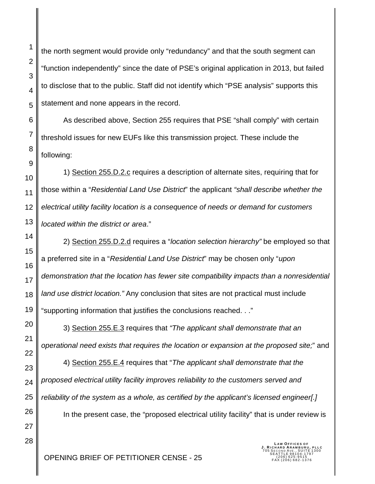the north segment would provide only "redundancy" and that the south segment can "function independently" since the date of PSE's original application in 2013, but failed to disclose that to the public. Staff did not identify which "PSE analysis" supports this statement and none appears in the record.

As described above, Section 255 requires that PSE "shall comply" with certain threshold issues for new EUFs like this transmission project. These include the following:

1) Section 255.D.2.c requires a description of alternate sites, requiring that for those within a "*Residential Land Use District*" the applicant *"shall describe whether the electrical utility facility location is a consequence of needs or demand for customers located within the district or area*."

2) Section 255.D.2.d requires a "*location selection hierarchy"* be employed so that a preferred site in a "*Residential Land Use District*" may be chosen only "*upon demonstration that the location has fewer site compatibility impacts than a nonresidential land use district location."* Any conclusion that sites are not practical must include "supporting information that justifies the conclusions reached. . ."

3) Section 255.E.3 requires that *"The applicant shall demonstrate that an operational need exists that requires the location or expansion at the proposed site;*" and

4) Section 255.E.4 requires that "*The applicant shall demonstrate that the proposed electrical utility facility improves reliability to the customers served and reliability of the system as a whole, as certified by the applicant's licensed engineer[.]*

In the present case, the "proposed electrical utility facility" that is under review is

**LAW OFFICES OF<br><b>J. RICHARD ARAMBURU, PLLC**<br>705 SECOND AVE., SUITE 1300<br>SEATTLE 98104-1797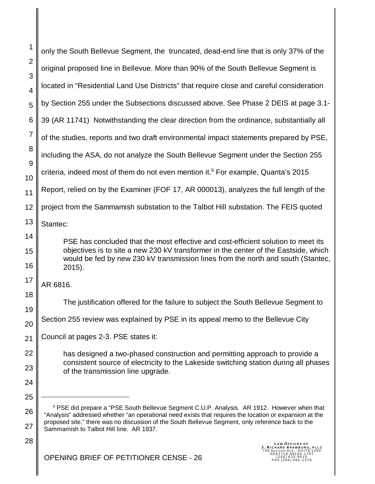| 1              | only the South Bellevue Segment, the truncated, dead-end line that is only 37% of the                                                                                                                                                                                                                                                                             |
|----------------|-------------------------------------------------------------------------------------------------------------------------------------------------------------------------------------------------------------------------------------------------------------------------------------------------------------------------------------------------------------------|
| $\overline{2}$ | original proposed line in Bellevue. More than 90% of the South Bellevue Segment is                                                                                                                                                                                                                                                                                |
| 3<br>4         | located in "Residential Land Use Districts" that require close and careful consideration                                                                                                                                                                                                                                                                          |
| 5              | by Section 255 under the Subsections discussed above. See Phase 2 DEIS at page 3.1-                                                                                                                                                                                                                                                                               |
| 6              | 39 (AR 11741) Notwithstanding the clear direction from the ordinance, substantially all                                                                                                                                                                                                                                                                           |
| 7              | of the studies, reports and two draft environmental impact statements prepared by PSE,                                                                                                                                                                                                                                                                            |
| 8              | including the ASA, do not analyze the South Bellevue Segment under the Section 255                                                                                                                                                                                                                                                                                |
| 9<br>10        | criteria, indeed most of them do not even mention it. <sup>9</sup> For example, Quanta's 2015                                                                                                                                                                                                                                                                     |
| 11             | Report, relied on by the Examiner (FOF 17, AR 000013), analyzes the full length of the                                                                                                                                                                                                                                                                            |
| 12             | project from the Sammamish substation to the Talbot Hill substation. The FEIS quoted                                                                                                                                                                                                                                                                              |
| 13             | Stantec:                                                                                                                                                                                                                                                                                                                                                          |
| 14             | PSE has concluded that the most effective and cost-efficient solution to meet its                                                                                                                                                                                                                                                                                 |
| 15<br>16       | objectives is to site a new 230 kV transformer in the center of the Eastside, which<br>would be fed by new 230 kV transmission lines from the north and south (Stantec,<br>2015).                                                                                                                                                                                 |
| 17             | AR 6816.                                                                                                                                                                                                                                                                                                                                                          |
| 18             | The justification offered for the failure to subject the South Bellevue Segment to                                                                                                                                                                                                                                                                                |
| 19             |                                                                                                                                                                                                                                                                                                                                                                   |
| 20             | Section 255 review was explained by PSE in its appeal memo to the Bellevue City                                                                                                                                                                                                                                                                                   |
| 21             | Council at pages 2-3. PSE states it:                                                                                                                                                                                                                                                                                                                              |
| 22             | has designed a two-phased construction and permitting approach to provide a                                                                                                                                                                                                                                                                                       |
| 23             | consistent source of electricity to the Lakeside switching station during all phases<br>of the transmission line upgrade.                                                                                                                                                                                                                                         |
| 24             |                                                                                                                                                                                                                                                                                                                                                                   |
| 25             |                                                                                                                                                                                                                                                                                                                                                                   |
| 26<br>27       | <sup>9</sup> PSE did prepare a "PSE South Bellevue Segment C.U.P. Analysis. AR 1912. However when that<br>"Analysis" addressed whether "an operational need exists that requires the location or expansion at the<br>proposed site," there was no discussion of the South Bellevue Segment, only reference back to the<br>Sammamish to Talbot Hill line. AR 1937. |
| 28             |                                                                                                                                                                                                                                                                                                                                                                   |
|                | LAW OFFICES OF<br>J. RICHARD ARAMBURU, PLLC<br>705 SECOND AVE., SUITE 1300<br>SEATTLE 98104-1797<br>DETITIONED OFNIO                                                                                                                                                                                                                                              |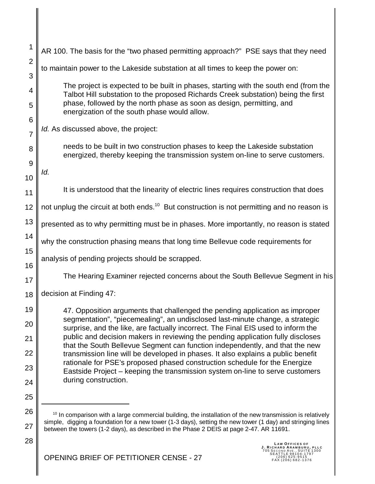| 1              | AR 100. The basis for the "two phased permitting approach?" PSE says that they need                                                                                                                   |
|----------------|-------------------------------------------------------------------------------------------------------------------------------------------------------------------------------------------------------|
| $\overline{2}$ | to maintain power to the Lakeside substation at all times to keep the power on:                                                                                                                       |
| 3<br>4         | The project is expected to be built in phases, starting with the south end (from the                                                                                                                  |
| 5              | Talbot Hill substation to the proposed Richards Creek substation) being the first<br>phase, followed by the north phase as soon as design, permitting, and                                            |
| 6              | energization of the south phase would allow.                                                                                                                                                          |
| $\overline{7}$ | Id. As discussed above, the project:                                                                                                                                                                  |
| 8              | needs to be built in two construction phases to keep the Lakeside substation<br>energized, thereby keeping the transmission system on-line to serve customers.                                        |
| 9              | ld.                                                                                                                                                                                                   |
| 10             | It is understood that the linearity of electric lines requires construction that does                                                                                                                 |
| 11             |                                                                                                                                                                                                       |
| 12             | not unplug the circuit at both ends. <sup>10</sup> But construction is not permitting and no reason is                                                                                                |
| 13             | presented as to why permitting must be in phases. More importantly, no reason is stated                                                                                                               |
| 14             | why the construction phasing means that long time Bellevue code requirements for                                                                                                                      |
| 15<br>16       | analysis of pending projects should be scrapped.                                                                                                                                                      |
| 17             | The Hearing Examiner rejected concerns about the South Bellevue Segment in his                                                                                                                        |
| 18             | decision at Finding 47:                                                                                                                                                                               |
| 19             | 47. Opposition arguments that challenged the pending application as improper                                                                                                                          |
| 20             | segmentation", "piecemealing", an undisclosed last-minute change, a strategic<br>surprise, and the like, are factually incorrect. The Final EIS used to inform the                                    |
| 21             | public and decision makers in reviewing the pending application fully discloses<br>that the South Bellevue Segment can function independently, and that the new                                       |
| 22             | transmission line will be developed in phases. It also explains a public benefit<br>rationale for PSE's proposed phased construction schedule for the Energize                                        |
| 23<br>24       | Eastside Project – keeping the transmission system on-line to serve customers<br>during construction.                                                                                                 |
| 25             |                                                                                                                                                                                                       |
| 26             | <sup>10</sup> In comparison with a large commercial building, the installation of the new transmission is relatively                                                                                  |
| 27             | simple, digging a foundation for a new tower (1-3 days), setting the new tower (1 day) and stringing lines<br>between the towers (1-2 days), as described in the Phase 2 DEIS at page 2-47. AR 11691. |

28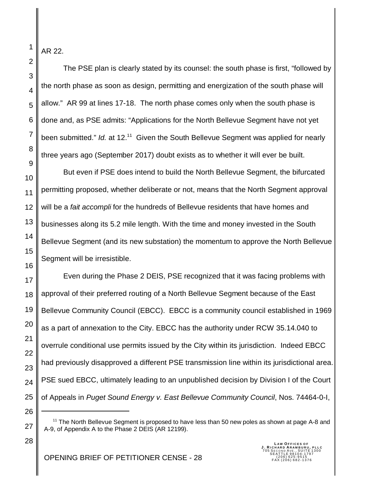AR 22.

1

2

3

4

5

6

7

8

9

The PSE plan is clearly stated by its counsel: the south phase is first, "followed by the north phase as soon as design, permitting and energization of the south phase will allow." AR 99 at lines 17-18. The north phase comes only when the south phase is done and, as PSE admits: "Applications for the North Bellevue Segment have not yet been submitted." *Id.* at 12.<sup>11</sup> Given the South Bellevue Segment was applied for nearly three years ago (September 2017) doubt exists as to whether it will ever be built.

10 11 12 13 14 15 16 But even if PSE does intend to build the North Bellevue Segment, the bifurcated permitting proposed, whether deliberate or not, means that the North Segment approval will be a *fait accompli* for the hundreds of Bellevue residents that have homes and businesses along its 5.2 mile length. With the time and money invested in the South Bellevue Segment (and its new substation) the momentum to approve the North Bellevue Segment will be irresistible.

17 18 19 20 21 22 23 24 25 Even during the Phase 2 DEIS, PSE recognized that it was facing problems with approval of their preferred routing of a North Bellevue Segment because of the East Bellevue Community Council (EBCC). EBCC is a community council established in 1969 as a part of annexation to the City. EBCC has the authority under RCW 35.14.040 to overrule conditional use permits issued by the City within its jurisdiction. Indeed EBCC had previously disapproved a different PSE transmission line within its jurisdictional area. PSE sued EBCC, ultimately leading to an unpublished decision by Division I of the Court of Appeals in *Puget Sound Energy v. East Bellevue Community Council*, Nos. 74464-0-I,

26

27

28

 $11$  The North Bellevue Segment is proposed to have less than 50 new poles as shown at page A-8 and A-9, of Appendix A to the Phase 2 DEIS (AR 12199).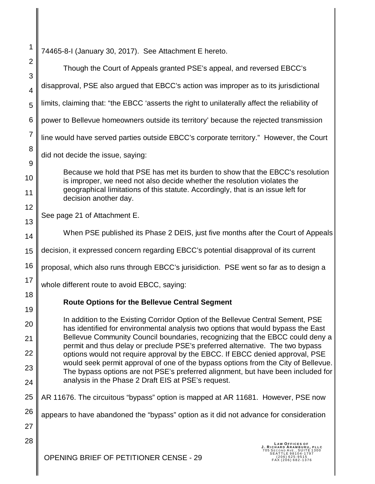1 2 3 4 5 6 7 8 9 10 11 12 13 14 15 16 17 18 19 20 21 22 23 24 25 26 27 28 74465-8-I (January 30, 2017). See Attachment E hereto. Though the Court of Appeals granted PSE's appeal, and reversed EBCC's disapproval, PSE also argued that EBCC's action was improper as to its jurisdictional limits, claiming that: "the EBCC 'asserts the right to unilaterally affect the reliability of power to Bellevue homeowners outside its territory' because the rejected transmission line would have served parties outside EBCC's corporate territory." However, the Court did not decide the issue, saying: Because we hold that PSE has met its burden to show that the EBCC's resolution is improper, we need not also decide whether the resolution violates the geographical limitations of this statute. Accordingly, that is an issue left for decision another day. See page 21 of Attachment E. When PSE published its Phase 2 DEIS, just five months after the Court of Appeals decision, it expressed concern regarding EBCC's potential disapproval of its current proposal, which also runs through EBCC's jurisidiction. PSE went so far as to design a whole different route to avoid EBCC, saying: **Route Options for the Bellevue Central Segment** In addition to the Existing Corridor Option of the Bellevue Central Sement, PSE has identified for environmental analysis two options that would bypass the East Bellevue Community Council boundaries, recognizing that the EBCC could deny a permit and thus delay or preclude PSE's preferred alternative. The two bypass options would not require approval by the EBCC. If EBCC denied approval, PSE would seek permit approval of one of the bypass options from the City of Bellevue. The bypass options are not PSE's preferred alignment, but have been included for analysis in the Phase 2 Draft EIS at PSE's request. AR 11676. The circuitous "bypass" option is mapped at AR 11681. However, PSE now appears to have abandoned the "bypass" option as it did not advance for consideration **LAW OFFICES OF<br><b>J. RICHARD ARAMBURU, PLLC**<br>705 SECOND AVE., SUITE 1300<br>SEATTLE 98104-1797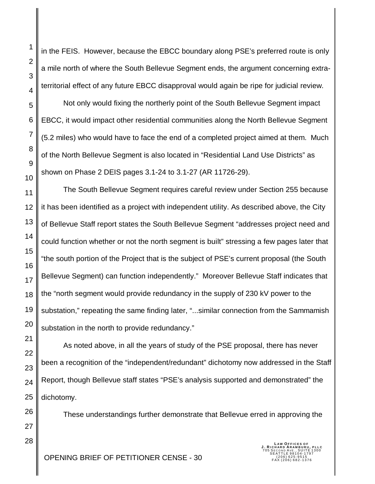28

1

2

3

in the FEIS. However, because the EBCC boundary along PSE's preferred route is only a mile north of where the South Bellevue Segment ends, the argument concerning extraterritorial effect of any future EBCC disapproval would again be ripe for judicial review.

Not only would fixing the northerly point of the South Bellevue Segment impact EBCC, it would impact other residential communities along the North Bellevue Segment (5.2 miles) who would have to face the end of a completed project aimed at them. Much of the North Bellevue Segment is also located in "Residential Land Use Districts" as shown on Phase 2 DEIS pages 3.1-24 to 3.1-27 (AR 11726-29).

The South Bellevue Segment requires careful review under Section 255 because it has been identified as a project with independent utility. As described above, the City of Bellevue Staff report states the South Bellevue Segment "addresses project need and could function whether or not the north segment is built" stressing a few pages later that "the south portion of the Project that is the subject of PSE's current proposal (the South Bellevue Segment) can function independently." Moreover Bellevue Staff indicates that the "north segment would provide redundancy in the supply of 230 kV power to the substation," repeating the same finding later, "...similar connection from the Sammamish substation in the north to provide redundancy."

As noted above, in all the years of study of the PSE proposal, there has never been a recognition of the "independent/redundant" dichotomy now addressed in the Staff Report, though Bellevue staff states "PSE's analysis supported and demonstrated" the dichotomy.

These understandings further demonstrate that Bellevue erred in approving the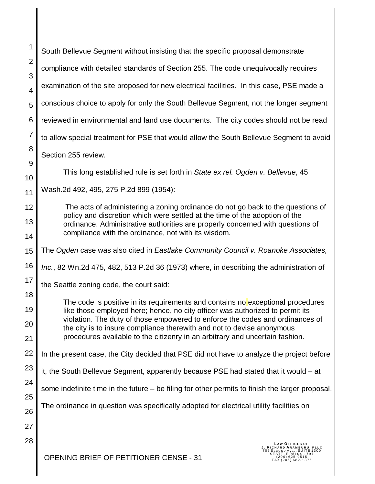| 1                   | South Bellevue Segment without insisting that the specific proposal demonstrate                                                                                |
|---------------------|----------------------------------------------------------------------------------------------------------------------------------------------------------------|
| $\overline{2}$<br>3 | compliance with detailed standards of Section 255. The code unequivocally requires                                                                             |
| $\overline{4}$      | examination of the site proposed for new electrical facilities. In this case, PSE made a                                                                       |
| 5                   | conscious choice to apply for only the South Bellevue Segment, not the longer segment                                                                          |
| 6                   | reviewed in environmental and land use documents. The city codes should not be read                                                                            |
| $\overline{7}$      | to allow special treatment for PSE that would allow the South Bellevue Segment to avoid                                                                        |
| 8                   | Section 255 review.                                                                                                                                            |
| 9<br>10             | This long established rule is set forth in State ex rel. Ogden v. Bellevue, 45                                                                                 |
| 11                  | Wash.2d 492, 495, 275 P.2d 899 (1954):                                                                                                                         |
| 12                  | The acts of administering a zoning ordinance do not go back to the questions of                                                                                |
| 13                  | policy and discretion which were settled at the time of the adoption of the<br>ordinance. Administrative authorities are properly concerned with questions of  |
| 14                  | compliance with the ordinance, not with its wisdom.                                                                                                            |
| 15                  | The Ogden case was also cited in Eastlake Community Council v. Roanoke Associates,                                                                             |
| 16                  | Inc., 82 Wn.2d 475, 482, 513 P.2d 36 (1973) where, in describing the administration of                                                                         |
| 17                  | the Seattle zoning code, the court said:                                                                                                                       |
| 18<br>19            | The code is positive in its requirements and contains no exceptional procedures                                                                                |
| 20                  | like those employed here; hence, no city officer was authorized to permit its<br>violation. The duty of those empowered to enforce the codes and ordinances of |
| 21                  | the city is to insure compliance therewith and not to devise anonymous<br>procedures available to the citizenry in an arbitrary and uncertain fashion.         |
| 22                  | In the present case, the City decided that PSE did not have to analyze the project before                                                                      |
| 23                  | it, the South Bellevue Segment, apparently because PSE had stated that it would - at                                                                           |
| 24                  | some indefinite time in the future $-$ be filing for other permits to finish the larger proposal.                                                              |
| 25<br>26            | The ordinance in question was specifically adopted for electrical utility facilities on                                                                        |
| 27                  |                                                                                                                                                                |
| 28                  | <b>LAW OFFICES OF</b>                                                                                                                                          |
|                     | J. RICHARD ARAMBURU, PLLC<br>ATTLE 98104-1797<br>OPENING BRIEF OF PETITIONER CENSE - 31<br>206) 625-9515<br>AX (206) 682-1376                                  |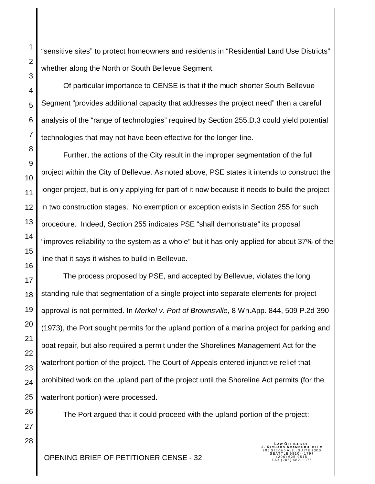"sensitive sites" to protect homeowners and residents in "Residential Land Use Districts" whether along the North or South Bellevue Segment.

Of particular importance to CENSE is that if the much shorter South Bellevue Segment "provides additional capacity that addresses the project need" then a careful analysis of the "range of technologies" required by Section 255.D.3 could yield potential technologies that may not have been effective for the longer line.

Further, the actions of the City result in the improper segmentation of the full project within the City of Bellevue. As noted above, PSE states it intends to construct the longer project, but is only applying for part of it now because it needs to build the project in two construction stages. No exemption or exception exists in Section 255 for such procedure. Indeed, Section 255 indicates PSE "shall demonstrate" its proposal "improves reliability to the system as a whole" but it has only applied for about 37% of the line that it says it wishes to build in Bellevue.

The process proposed by PSE, and accepted by Bellevue, violates the long standing rule that segmentation of a single project into separate elements for project approval is not permitted. In *Merkel v. Port of Brownsville*, 8 Wn.App. 844, 509 P.2d 390 (1973), the Port sought permits for the upland portion of a marina project for parking and boat repair, but also required a permit under the Shorelines Management Act for the waterfront portion of the project. The Court of Appeals entered injunctive relief that prohibited work on the upland part of the project until the Shoreline Act permits (for the waterfront portion) were processed.

The Port argued that it could proceed with the upland portion of the project: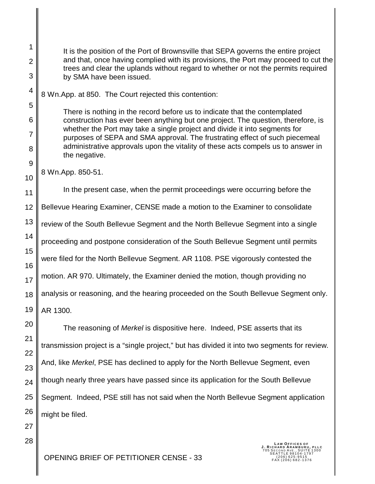It is the position of the Port of Brownsville that SEPA governs the entire project and that, once having complied with its provisions, the Port may proceed to cut the trees and clear the uplands without regard to whether or not the permits required by SMA have been issued.

8 Wn.App. at 850. The Court rejected this contention:

There is nothing in the record before us to indicate that the contemplated construction has ever been anything but one project. The question, therefore, is whether the Port may take a single project and divide it into segments for purposes of SEPA and SMA approval. The frustrating effect of such piecemeal administrative approvals upon the vitality of these acts compels us to answer in the negative.

8 Wn.App. 850-51.

1

2

3

4

5

6

7

8

9

10

27

28

11 12 13 14 15 16 17 18 19 In the present case, when the permit proceedings were occurring before the Bellevue Hearing Examiner, CENSE made a motion to the Examiner to consolidate review of the South Bellevue Segment and the North Bellevue Segment into a single proceeding and postpone consideration of the South Bellevue Segment until permits were filed for the North Bellevue Segment. AR 1108. PSE vigorously contested the motion. AR 970. Ultimately, the Examiner denied the motion, though providing no analysis or reasoning, and the hearing proceeded on the South Bellevue Segment only. AR 1300.

20 21 22 23 24 25 26 The reasoning of *Merkel* is dispositive here. Indeed, PSE asserts that its transmission project is a "single project," but has divided it into two segments for review. And, like *Merkel*, PSE has declined to apply for the North Bellevue Segment, even though nearly three years have passed since its application for the South Bellevue Segment. Indeed, PSE still has not said when the North Bellevue Segment application might be filed.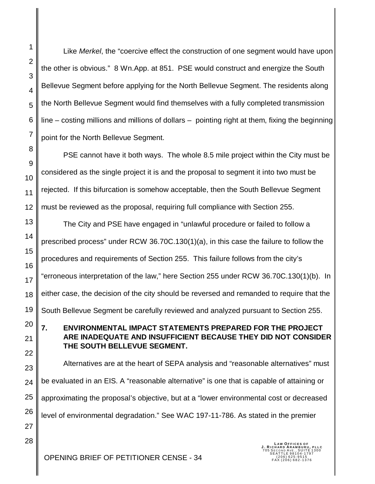2 3 4 5 6 7 8 9 10 11 12 13 14 15 16 17 18 19 the other is obvious." 8 Wn.App. at 851. PSE would construct and energize the South Bellevue Segment before applying for the North Bellevue Segment. The residents along the North Bellevue Segment would find themselves with a fully completed transmission line – costing millions and millions of dollars – pointing right at them, fixing the beginning point for the North Bellevue Segment. PSE cannot have it both ways. The whole 8.5 mile project within the City must be considered as the single project it is and the proposal to segment it into two must be rejected. If this bifurcation is somehow acceptable, then the South Bellevue Segment must be reviewed as the proposal, requiring full compliance with Section 255. The City and PSE have engaged in "unlawful procedure or failed to follow a prescribed process" under RCW 36.70C.130(1)(a), in this case the failure to follow the procedures and requirements of Section 255. This failure follows from the city's "erroneous interpretation of the law," here Section 255 under RCW 36.70C.130(1)(b). In either case, the decision of the city should be reversed and remanded to require that the South Bellevue Segment be carefully reviewed and analyzed pursuant to Section 255.

**7. ENVIRONMENTAL IMPACT STATEMENTS PREPARED FOR THE PROJECT ARE INADEQUATE AND INSUFFICIENT BECAUSE THEY DID NOT CONSIDER THE SOUTH BELLEVUE SEGMENT.**

Like *Merkel*, the "coercive effect the construction of one segment would have upon

Alternatives are at the heart of SEPA analysis and "reasonable alternatives" must be evaluated in an EIS. A "reasonable alternative" is one that is capable of attaining or approximating the proposal's objective, but at a "lower environmental cost or decreased level of environmental degradation." See WAC 197-11-786. As stated in the premier

**LAW OFFICES OF<br><b>J. RICHARD ARAMBURU, PLLC**<br>705 SECOND AVE., SUITE 1300<br>SEATTLE 98104-1797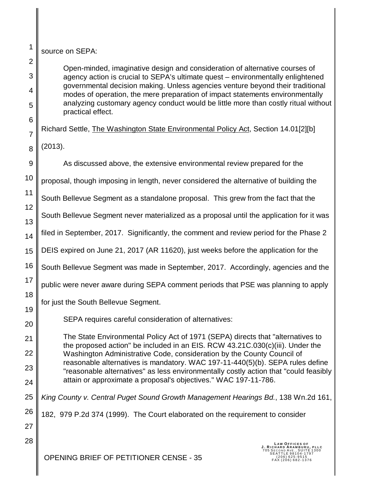source on SEPA:

Open-minded, imaginative design and consideration of alternative courses of agency action is crucial to SEPA's ultimate quest – environmentally enlightened governmental decision making. Unless agencies venture beyond their traditional modes of operation, the mere preparation of impact statements environmentally analyzing customary agency conduct would be little more than costly ritual without practical effect.

Richard Settle, The Washington State Environmental Policy Act, Section 14.01[2][b]

(2013).

1

2

3

4

5

6

7

8

9

12

As discussed above, the extensive environmental review prepared for the

10 proposal, though imposing in length, never considered the alternative of building the

11 South Bellevue Segment as a standalone proposal. This grew from the fact that the

13 South Bellevue Segment never materialized as a proposal until the application for it was

14 filed in September, 2017. Significantly, the comment and review period for the Phase 2

15 DEIS expired on June 21, 2017 (AR 11620), just weeks before the application for the

16 South Bellevue Segment was made in September, 2017. Accordingly, agencies and the

17 public were never aware during SEPA comment periods that PSE was planning to apply

18 19 for just the South Bellevue Segment.

SEPA requires careful consideration of alternatives:

23 The State Environmental Policy Act of 1971 (SEPA) directs that "alternatives to the proposed action" be included in an EIS. RCW 43.21C.030(c)(iii). Under the Washington Administrative Code, consideration by the County Council of reasonable alternatives is mandatory. WAC 197-11-440(5)(b). SEPA rules define "reasonable alternatives" as less environmentally costly action that "could feasibly attain or approximate a proposal's objectives." WAC 197-11-786.

25 *King County v. Central Puget Sound Growth Management Hearings Bd.*, 138 Wn.2d 161,

26 182, 979 P.2d 374 (1999). The Court elaborated on the requirement to consider

27 28

20

21

22

24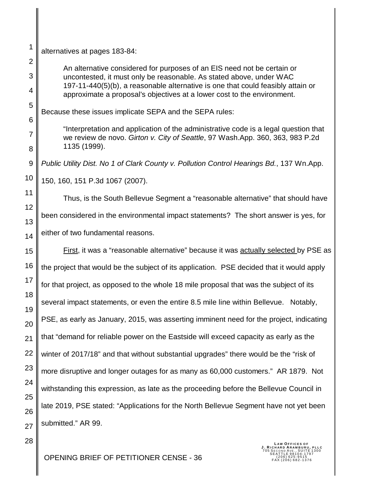alternatives at pages 183-84:

1

2

3

4

5

6

7

8

10

28

An alternative considered for purposes of an EIS need not be certain or uncontested, it must only be reasonable. As stated above, under WAC 197-11-440(5)(b), a reasonable alternative is one that could feasibly attain or approximate a proposal's objectives at a lower cost to the environment.

Because these issues implicate SEPA and the SEPA rules:

"Interpretation and application of the administrative code is a legal question that we review de novo. *Girton v. City of Seattle*, 97 Wash.App. 360, 363, 983 P.2d 1135 (1999).

9 *Public Utility Dist. No 1 of Clark County v. Pollution Control Hearings Bd.*, 137 Wn.App.

150, 160, 151 P.3d 1067 (2007).

11 12 13 14 Thus, is the South Bellevue Segment a "reasonable alternative" that should have been considered in the environmental impact statements? The short answer is yes, for either of two fundamental reasons.

15 16 17 18 19 20 21 22 23 24 25 26 27 First, it was a "reasonable alternative" because it was actually selected by PSE as the project that would be the subject of its application. PSE decided that it would apply for that project, as opposed to the whole 18 mile proposal that was the subject of its several impact statements, or even the entire 8.5 mile line within Bellevue. Notably, PSE, as early as January, 2015, was asserting imminent need for the project, indicating that "demand for reliable power on the Eastside will exceed capacity as early as the winter of 2017/18" and that without substantial upgrades" there would be the "risk of more disruptive and longer outages for as many as 60,000 customers." AR 1879. Not withstanding this expression, as late as the proceeding before the Bellevue Council in late 2019, PSE stated: "Applications for the North Bellevue Segment have not yet been submitted." AR 99.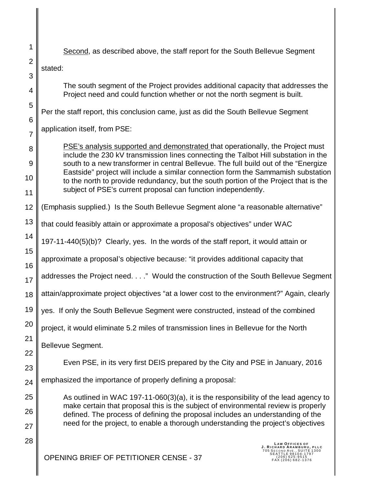| 1                                 | Second, as described above, the staff report for the South Bellevue Segment                                                                                                                                                                                                                                                                                                                                                                                                                                |
|-----------------------------------|------------------------------------------------------------------------------------------------------------------------------------------------------------------------------------------------------------------------------------------------------------------------------------------------------------------------------------------------------------------------------------------------------------------------------------------------------------------------------------------------------------|
| $\overline{2}$                    | stated:                                                                                                                                                                                                                                                                                                                                                                                                                                                                                                    |
| 3                                 |                                                                                                                                                                                                                                                                                                                                                                                                                                                                                                            |
| 4                                 | The south segment of the Project provides additional capacity that addresses the<br>Project need and could function whether or not the north segment is built.                                                                                                                                                                                                                                                                                                                                             |
| 5                                 | Per the staff report, this conclusion came, just as did the South Bellevue Segment                                                                                                                                                                                                                                                                                                                                                                                                                         |
| $6\phantom{1}6$<br>$\overline{7}$ | application itself, from PSE:                                                                                                                                                                                                                                                                                                                                                                                                                                                                              |
| 8<br>9<br>10<br>11                | PSE's analysis supported and demonstrated that operationally, the Project must<br>include the 230 kV transmission lines connecting the Talbot Hill substation in the<br>south to a new transformer in central Bellevue. The full build out of the "Energize"<br>Eastside" project will include a similar connection form the Sammamish substation<br>to the north to provide redundancy, but the south portion of the Project that is the<br>subject of PSE's current proposal can function independently. |
| 12                                | (Emphasis supplied.) Is the South Bellevue Segment alone "a reasonable alternative"                                                                                                                                                                                                                                                                                                                                                                                                                        |
| 13                                | that could feasibly attain or approximate a proposal's objectives" under WAC                                                                                                                                                                                                                                                                                                                                                                                                                               |
| 14                                | 197-11-440(5)(b)? Clearly, yes. In the words of the staff report, it would attain or                                                                                                                                                                                                                                                                                                                                                                                                                       |
| 15<br>16                          | approximate a proposal's objective because: "it provides additional capacity that                                                                                                                                                                                                                                                                                                                                                                                                                          |
| 17                                | addresses the Project need." Would the construction of the South Bellevue Segment                                                                                                                                                                                                                                                                                                                                                                                                                          |
| 18                                | attain/approximate project objectives "at a lower cost to the environment?" Again, clearly                                                                                                                                                                                                                                                                                                                                                                                                                 |
| 19                                | yes. If only the South Bellevue Segment were constructed, instead of the combined                                                                                                                                                                                                                                                                                                                                                                                                                          |
| 20                                | project, it would eliminate 5.2 miles of transmission lines in Bellevue for the North                                                                                                                                                                                                                                                                                                                                                                                                                      |
| 21<br>22                          | Bellevue Segment.                                                                                                                                                                                                                                                                                                                                                                                                                                                                                          |
| 23                                | Even PSE, in its very first DEIS prepared by the City and PSE in January, 2016                                                                                                                                                                                                                                                                                                                                                                                                                             |
| 24                                | emphasized the importance of properly defining a proposal:                                                                                                                                                                                                                                                                                                                                                                                                                                                 |
| 25                                | As outlined in WAC 197-11-060(3)(a), it is the responsibility of the lead agency to                                                                                                                                                                                                                                                                                                                                                                                                                        |
| 26                                | make certain that proposal this is the subject of environmental review is properly<br>defined. The process of defining the proposal includes an understanding of the                                                                                                                                                                                                                                                                                                                                       |
| 27                                | need for the project, to enable a thorough understanding the project's objectives                                                                                                                                                                                                                                                                                                                                                                                                                          |
| 28                                | <b>LAW OFFICES OF</b><br>RICHARD ARAMBURU<br>SUITE 1300<br>EATTLE 98104-1797<br>OPENING BRIEF OF PETITIONER CENSE - 37<br>206) 625-9515<br>(206) 682-1376                                                                                                                                                                                                                                                                                                                                                  |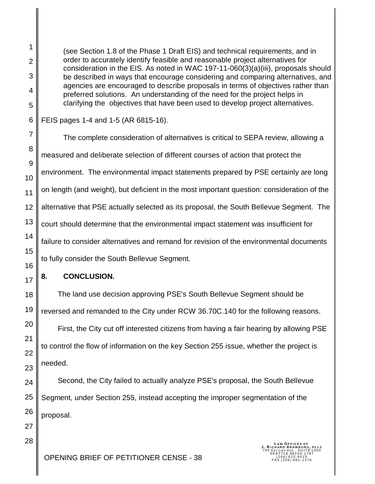(see Section 1.8 of the Phase 1 Draft EIS) and technical requirements, and in order to accurately identify feasible and reasonable project alternatives for consideration in the EIS. As noted in WAC 197-11-060(3)(a)(iii), proposals should be described in ways that encourage considering and comparing alternatives, and agencies are encouraged to describe proposals in terms of objectives rather than preferred solutions. An understanding of the need for the project helps in clarifying the objectives that have been used to develop project alternatives.

FEIS pages 1-4 and 1-5 (AR 6815-16).

The complete consideration of alternatives is critical to SEPA review, allowing a measured and deliberate selection of different courses of action that protect the environment. The environmental impact statements prepared by PSE certainly are long on length (and weight), but deficient in the most important question: consideration of the alternative that PSE actually selected as its proposal, the South Bellevue Segment. The court should determine that the environmental impact statement was insufficient for failure to consider alternatives and remand for revision of the environmental documents to fully consider the South Bellevue Segment.

# **8. CONCLUSION.**

 The land use decision approving PSE's South Bellevue Segment should be reversed and remanded to the City under RCW 36.70C.140 for the following reasons.

 First, the City cut off interested citizens from having a fair hearing by allowing PSE to control the flow of information on the key Section 255 issue, whether the project is needed.

 Second, the City failed to actually analyze PSE's proposal, the South Bellevue Segment, under Section 255, instead accepting the improper segmentation of the proposal.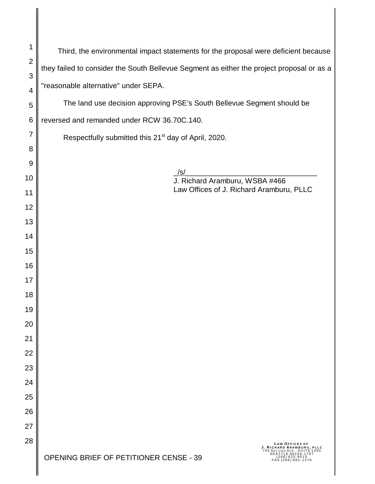| 1              | Third, the environmental impact statements for the proposal were deficient because                      |
|----------------|---------------------------------------------------------------------------------------------------------|
| $\overline{2}$ | they failed to consider the South Bellevue Segment as either the project proposal or as a               |
| 3<br>4         | "reasonable alternative" under SEPA.                                                                    |
| 5              | The land use decision approving PSE's South Bellevue Segment should be                                  |
| $\,6$          | reversed and remanded under RCW 36.70C.140.                                                             |
| 7              | Respectfully submitted this 21 <sup>st</sup> day of April, 2020.                                        |
| 8              |                                                                                                         |
| 9              |                                                                                                         |
| 10             | /s/<br>J. Richard Aramburu, WSBA #466                                                                   |
| 11             | Law Offices of J. Richard Aramburu, PLLC                                                                |
| 12             |                                                                                                         |
| 13             |                                                                                                         |
| 14             |                                                                                                         |
| 15             |                                                                                                         |
| 16             |                                                                                                         |
| 17             |                                                                                                         |
| 18             |                                                                                                         |
| 19             |                                                                                                         |
| 20             |                                                                                                         |
| 21             |                                                                                                         |
| 22             |                                                                                                         |
| 23             |                                                                                                         |
| 24             |                                                                                                         |
| 25             |                                                                                                         |
| 26             |                                                                                                         |
| 27             |                                                                                                         |
| 28             | <b>LAW OFFICES OF</b><br>J. RICHARD ARAMBURU, PLLC<br>705 SECOND AVE., SUITE 1300<br>SEATTLE 98104-1797 |
|                | OPENING BRIEF OF PETITIONER CENSE - 39<br>$(206)$ 625-9515<br>FAX (206) 682-1376                        |